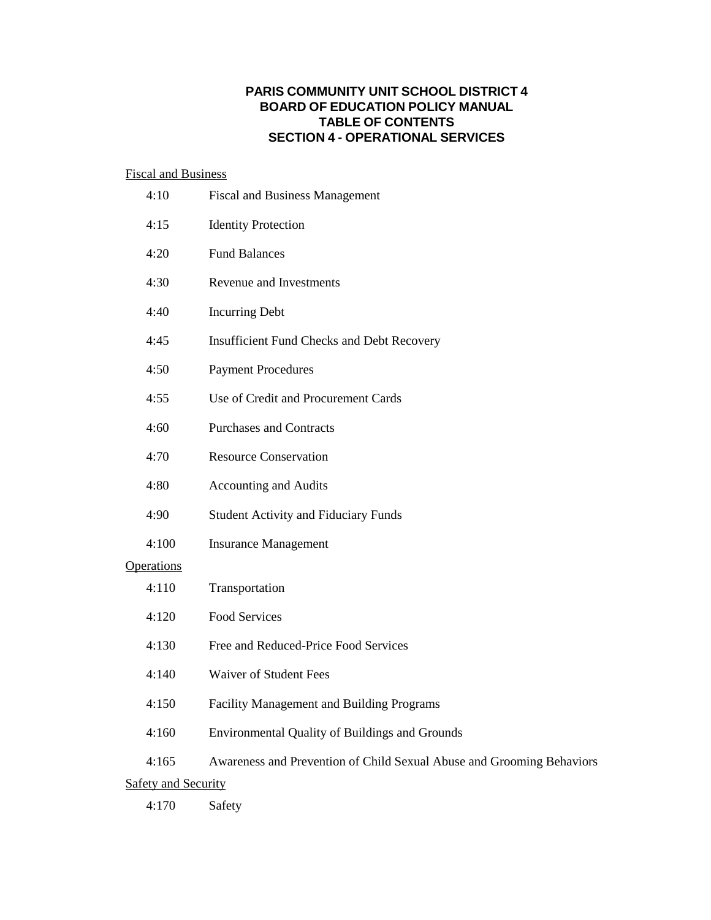# **PARIS COMMUNITY UNIT SCHOOL DISTRICT 4 BOARD OF EDUCATION POLICY MANUAL TABLE OF CONTENTS SECTION 4 - OPERATIONAL SERVICES**

# Fiscal and Business

| 4:10                       | <b>Fiscal and Business Management</b>                                 |
|----------------------------|-----------------------------------------------------------------------|
| 4:15                       | <b>Identity Protection</b>                                            |
| 4:20                       | <b>Fund Balances</b>                                                  |
| 4:30                       | Revenue and Investments                                               |
| 4:40                       | <b>Incurring Debt</b>                                                 |
| 4:45                       | <b>Insufficient Fund Checks and Debt Recovery</b>                     |
| 4:50                       | <b>Payment Procedures</b>                                             |
| 4:55                       | Use of Credit and Procurement Cards                                   |
| 4:60                       | <b>Purchases and Contracts</b>                                        |
| 4:70                       | <b>Resource Conservation</b>                                          |
| 4:80                       | <b>Accounting and Audits</b>                                          |
| 4:90                       | <b>Student Activity and Fiduciary Funds</b>                           |
| 4:100                      | <b>Insurance Management</b>                                           |
| <b>Operations</b>          |                                                                       |
| 4:110                      | Transportation                                                        |
| 4:120                      | <b>Food Services</b>                                                  |
| 4:130                      | Free and Reduced-Price Food Services                                  |
| 4:140                      | <b>Waiver of Student Fees</b>                                         |
| 4:150                      | <b>Facility Management and Building Programs</b>                      |
| 4:160                      | Environmental Quality of Buildings and Grounds                        |
| 4:165                      | Awareness and Prevention of Child Sexual Abuse and Grooming Behaviors |
| <b>Safety and Security</b> |                                                                       |
| 4:170                      | Safety                                                                |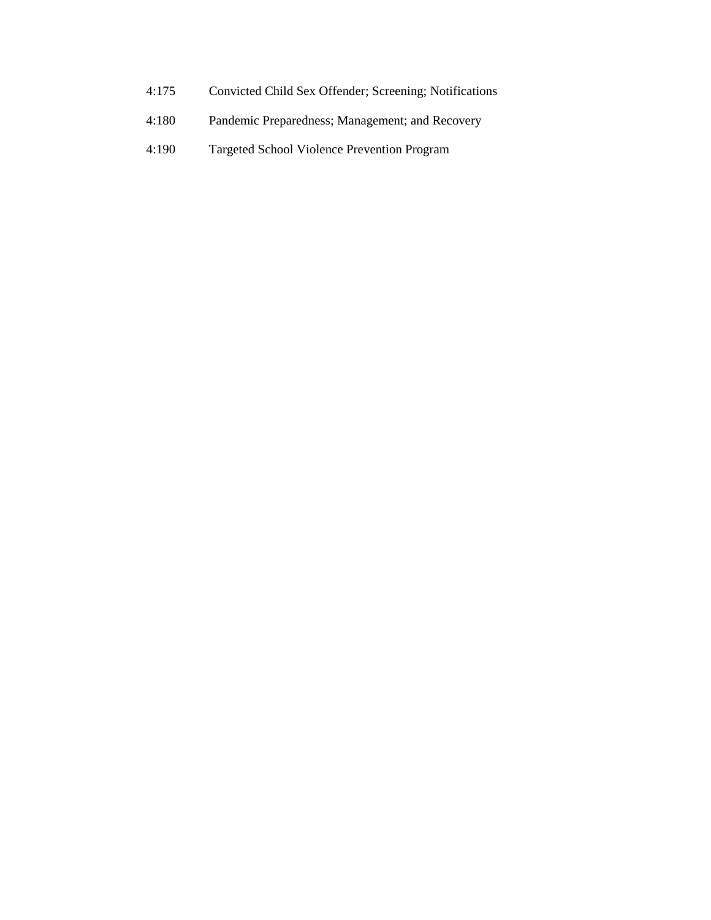- 4:175 Convicted Child Sex Offender; Screening; Notifications
- 4:180 Pandemic Preparedness; Management; and Recovery
- 4:190 Targeted School Violence Prevention Program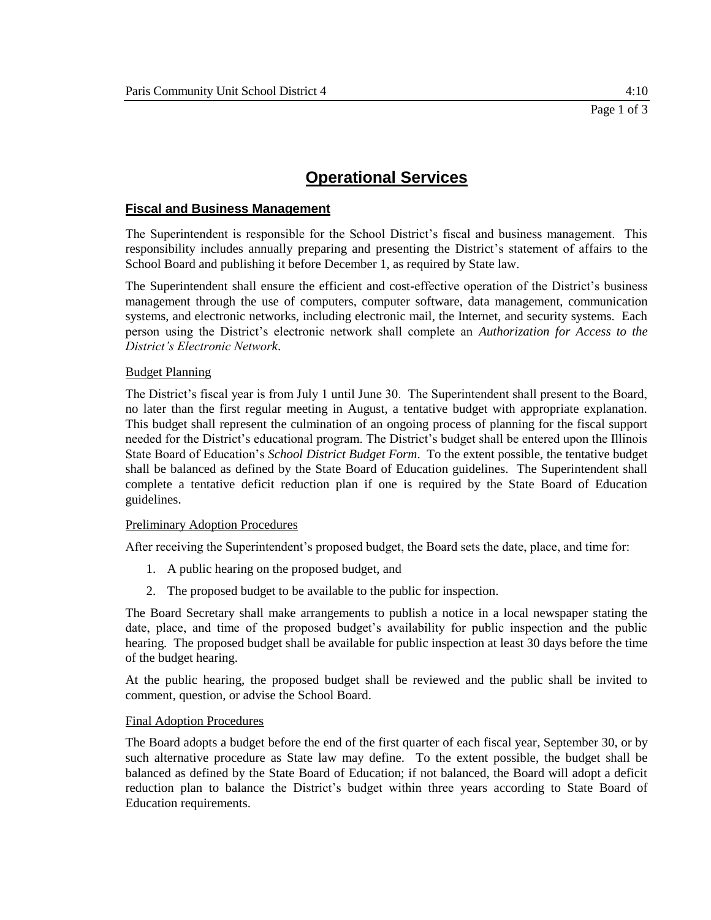### **Fiscal and Business Management**

The Superintendent is responsible for the School District's fiscal and business management. This responsibility includes annually preparing and presenting the District's statement of affairs to the School Board and publishing it before December 1, as required by State law.

The Superintendent shall ensure the efficient and cost-effective operation of the District's business management through the use of computers, computer software, data management, communication systems, and electronic networks, including electronic mail, the Internet, and security systems. Each person using the District's electronic network shall complete an *Authorization for Access to the District's Electronic Network*.

#### Budget Planning

The District's fiscal year is from July 1 until June 30. The Superintendent shall present to the Board, no later than the first regular meeting in August, a tentative budget with appropriate explanation. This budget shall represent the culmination of an ongoing process of planning for the fiscal support needed for the District's educational program. The District's budget shall be entered upon the Illinois State Board of Education's *School District Budget Form*. To the extent possible, the tentative budget shall be balanced as defined by the State Board of Education guidelines. The Superintendent shall complete a tentative deficit reduction plan if one is required by the State Board of Education guidelines.

#### Preliminary Adoption Procedures

After receiving the Superintendent's proposed budget, the Board sets the date, place, and time for:

- 1. A public hearing on the proposed budget, and
- 2. The proposed budget to be available to the public for inspection.

The Board Secretary shall make arrangements to publish a notice in a local newspaper stating the date, place, and time of the proposed budget's availability for public inspection and the public hearing. The proposed budget shall be available for public inspection at least 30 days before the time of the budget hearing.

At the public hearing, the proposed budget shall be reviewed and the public shall be invited to comment, question, or advise the School Board.

#### Final Adoption Procedures

The Board adopts a budget before the end of the first quarter of each fiscal year, September 30, or by such alternative procedure as State law may define. To the extent possible, the budget shall be balanced as defined by the State Board of Education; if not balanced, the Board will adopt a deficit reduction plan to balance the District's budget within three years according to State Board of Education requirements.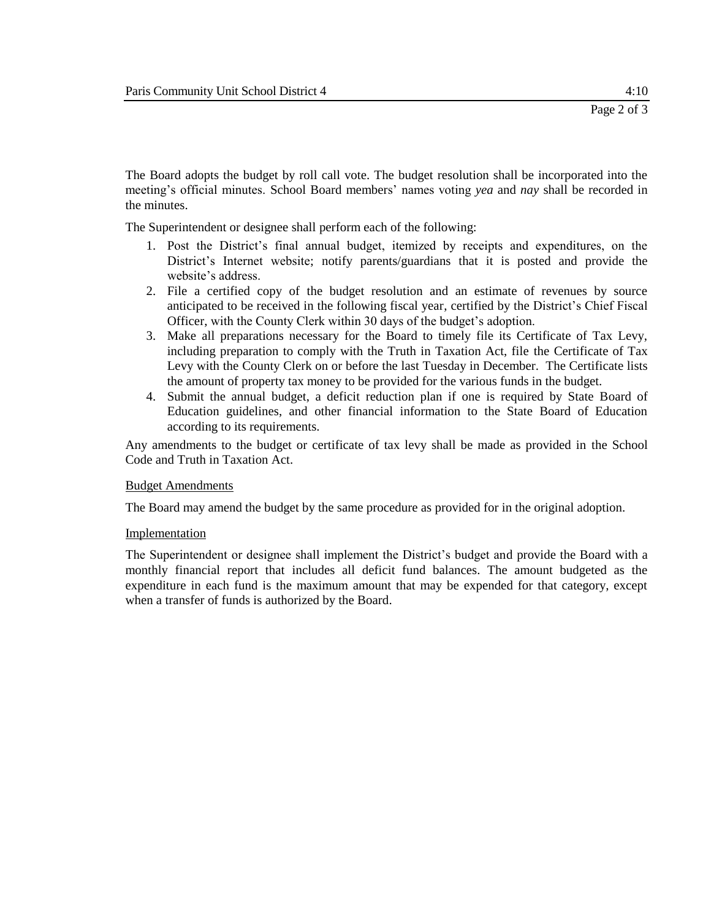The Board adopts the budget by roll call vote. The budget resolution shall be incorporated into the meeting's official minutes. School Board members' names voting *yea* and *nay* shall be recorded in the minutes.

The Superintendent or designee shall perform each of the following:

- 1. Post the District's final annual budget, itemized by receipts and expenditures, on the District's Internet website; notify parents/guardians that it is posted and provide the website's address.
- 2. File a certified copy of the budget resolution and an estimate of revenues by source anticipated to be received in the following fiscal year, certified by the District's Chief Fiscal Officer, with the County Clerk within 30 days of the budget's adoption.
- 3. Make all preparations necessary for the Board to timely file its Certificate of Tax Levy, including preparation to comply with the Truth in Taxation Act, file the Certificate of Tax Levy with the County Clerk on or before the last Tuesday in December. The Certificate lists the amount of property tax money to be provided for the various funds in the budget.
- 4. Submit the annual budget, a deficit reduction plan if one is required by State Board of Education guidelines, and other financial information to the State Board of Education according to its requirements.

Any amendments to the budget or certificate of tax levy shall be made as provided in the School Code and Truth in Taxation Act.

#### Budget Amendments

The Board may amend the budget by the same procedure as provided for in the original adoption.

#### Implementation

The Superintendent or designee shall implement the District's budget and provide the Board with a monthly financial report that includes all deficit fund balances. The amount budgeted as the expenditure in each fund is the maximum amount that may be expended for that category, except when a transfer of funds is authorized by the Board.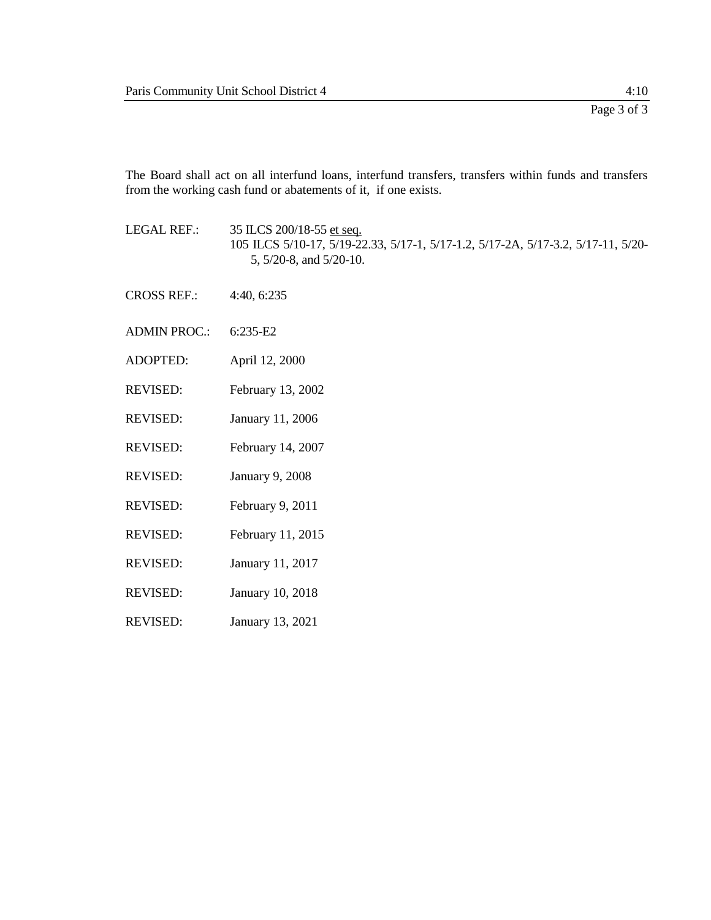The Board shall act on all interfund loans, interfund transfers, transfers within funds and transfers from the working cash fund or abatements of it, if one exists.

- LEGAL REF.: 35 ILCS 200/18-55 et seq. 105 ILCS 5/10-17, 5/19-22.33, 5/17-1, 5/17-1.2, 5/17-2A, 5/17-3.2, 5/17-11, 5/20- 5, 5/20-8, and 5/20-10.
- CROSS REF.: 4:40, 6:235
- ADMIN PROC.: 6:235-E2
- ADOPTED: April 12, 2000
- REVISED: February 13, 2002
- REVISED: January 11, 2006
- REVISED: February 14, 2007
- REVISED: January 9, 2008
- REVISED: February 9, 2011
- REVISED: February 11, 2015
- REVISED: January 11, 2017
- REVISED: January 10, 2018
- REVISED: January 13, 2021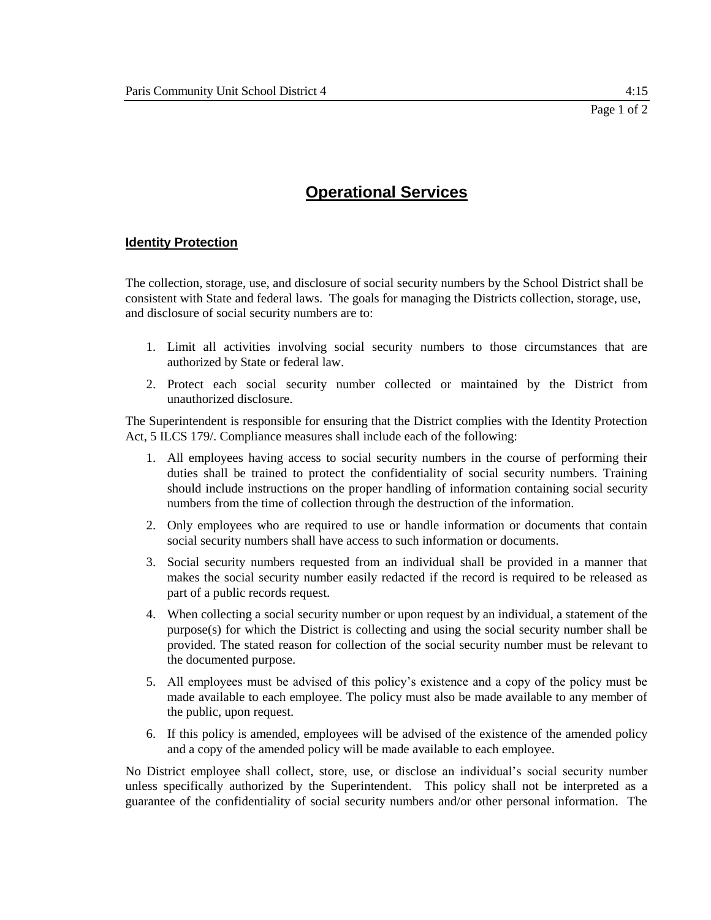### **Identity Protection**

The collection, storage, use, and disclosure of social security numbers by the School District shall be consistent with State and federal laws. The goals for managing the Districts collection, storage, use, and disclosure of social security numbers are to:

- 1. Limit all activities involving social security numbers to those circumstances that are authorized by State or federal law.
- 2. Protect each social security number collected or maintained by the District from unauthorized disclosure.

The Superintendent is responsible for ensuring that the District complies with the Identity Protection Act, 5 ILCS 179/. Compliance measures shall include each of the following:

- 1. All employees having access to social security numbers in the course of performing their duties shall be trained to protect the confidentiality of social security numbers. Training should include instructions on the proper handling of information containing social security numbers from the time of collection through the destruction of the information.
- 2. Only employees who are required to use or handle information or documents that contain social security numbers shall have access to such information or documents.
- 3. Social security numbers requested from an individual shall be provided in a manner that makes the social security number easily redacted if the record is required to be released as part of a public records request.
- 4. When collecting a social security number or upon request by an individual, a statement of the purpose(s) for which the District is collecting and using the social security number shall be provided. The stated reason for collection of the social security number must be relevant to the documented purpose.
- 5. All employees must be advised of this policy's existence and a copy of the policy must be made available to each employee. The policy must also be made available to any member of the public, upon request.
- 6. If this policy is amended, employees will be advised of the existence of the amended policy and a copy of the amended policy will be made available to each employee.

No District employee shall collect, store, use, or disclose an individual's social security number unless specifically authorized by the Superintendent. This policy shall not be interpreted as a guarantee of the confidentiality of social security numbers and/or other personal information. The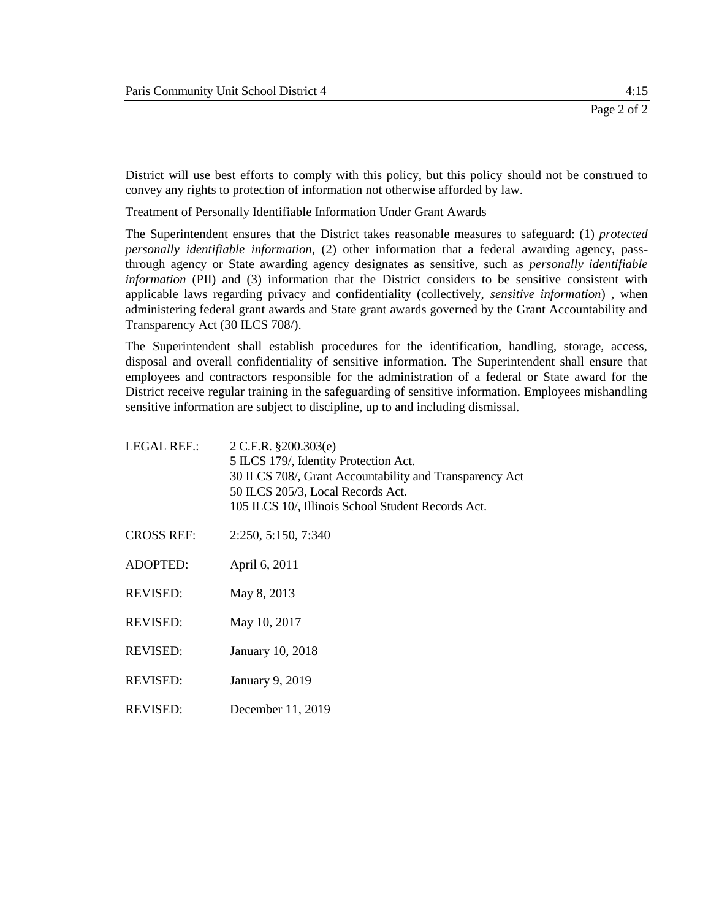REVISED: December 11, 2019

District will use best efforts to comply with this policy, but this policy should not be construed to convey any rights to protection of information not otherwise afforded by law.

Treatment of Personally Identifiable Information Under Grant Awards

The Superintendent ensures that the District takes reasonable measures to safeguard: (1) *protected personally identifiable information,* (2) other information that a federal awarding agency, passthrough agency or State awarding agency designates as sensitive, such as *personally identifiable information* (PII) and (3) information that the District considers to be sensitive consistent with applicable laws regarding privacy and confidentiality (collectively, *sensitive information*) , when administering federal grant awards and State grant awards governed by the Grant Accountability and Transparency Act (30 ILCS 708/).

The Superintendent shall establish procedures for the identification, handling, storage, access, disposal and overall confidentiality of sensitive information. The Superintendent shall ensure that employees and contractors responsible for the administration of a federal or State award for the District receive regular training in the safeguarding of sensitive information. Employees mishandling sensitive information are subject to discipline, up to and including dismissal.

| <b>LEGAL REF.:</b> | $2$ C.F.R. §200.303(e)<br>5 ILCS 179/, Identity Protection Act.<br>30 ILCS 708/, Grant Accountability and Transparency Act<br>50 ILCS 205/3, Local Records Act.<br>105 ILCS 10/, Illinois School Student Records Act. |
|--------------------|-----------------------------------------------------------------------------------------------------------------------------------------------------------------------------------------------------------------------|
| <b>CROSS REF:</b>  | 2:250, 5:150, 7:340                                                                                                                                                                                                   |
| <b>ADOPTED:</b>    | April 6, 2011                                                                                                                                                                                                         |
| <b>REVISED:</b>    | May 8, 2013                                                                                                                                                                                                           |
| <b>REVISED:</b>    | May 10, 2017                                                                                                                                                                                                          |
| <b>REVISED:</b>    | January 10, 2018                                                                                                                                                                                                      |
| <b>REVISED:</b>    | January 9, 2019                                                                                                                                                                                                       |
|                    |                                                                                                                                                                                                                       |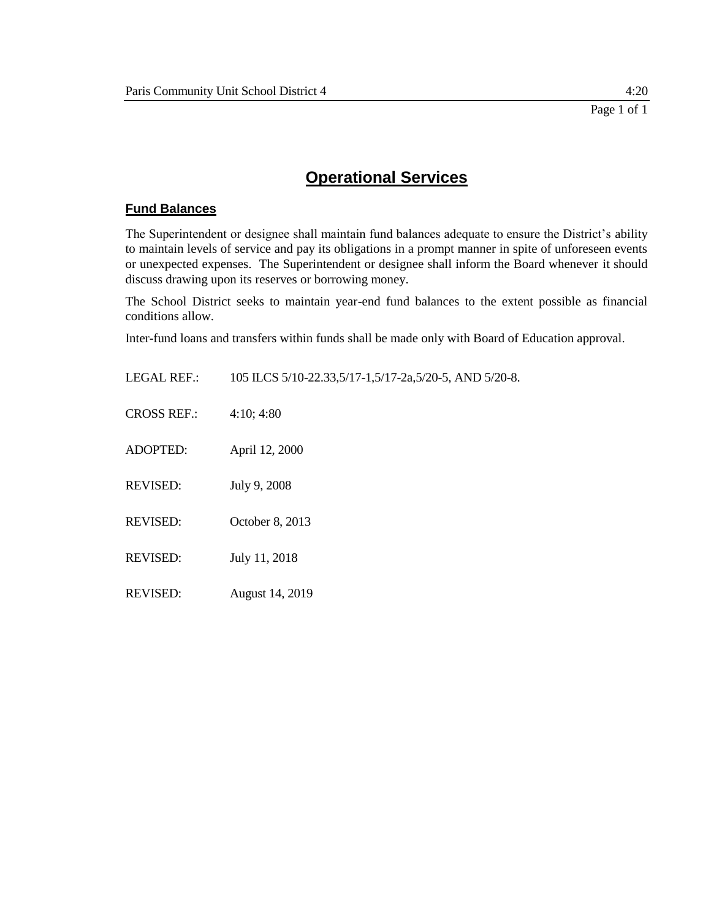# **Fund Balances**

The Superintendent or designee shall maintain fund balances adequate to ensure the District's ability to maintain levels of service and pay its obligations in a prompt manner in spite of unforeseen events or unexpected expenses. The Superintendent or designee shall inform the Board whenever it should discuss drawing upon its reserves or borrowing money.

The School District seeks to maintain year-end fund balances to the extent possible as financial conditions allow.

Inter-fund loans and transfers within funds shall be made only with Board of Education approval.

| <b>LEGAL REF.:</b> | 105 ILCS 5/10-22.33,5/17-1,5/17-2a,5/20-5, AND 5/20-8. |
|--------------------|--------------------------------------------------------|
| <b>CROSS REF.:</b> | 4:10; 4:80                                             |
| <b>ADOPTED:</b>    | April 12, 2000                                         |
| <b>REVISED:</b>    | July 9, 2008                                           |
| <b>REVISED:</b>    | October 8, 2013                                        |
| <b>REVISED:</b>    | July 11, 2018                                          |
| <b>REVISED:</b>    | August 14, 2019                                        |
|                    |                                                        |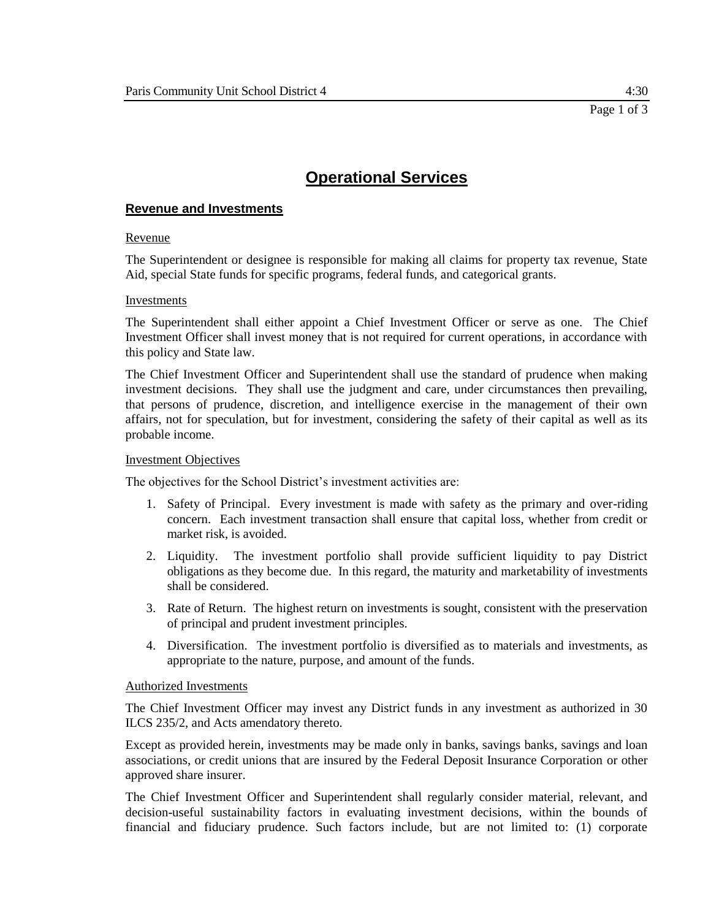## **Revenue and Investments**

### Revenue

The Superintendent or designee is responsible for making all claims for property tax revenue, State Aid, special State funds for specific programs, federal funds, and categorical grants.

#### Investments

The Superintendent shall either appoint a Chief Investment Officer or serve as one. The Chief Investment Officer shall invest money that is not required for current operations, in accordance with this policy and State law.

The Chief Investment Officer and Superintendent shall use the standard of prudence when making investment decisions. They shall use the judgment and care, under circumstances then prevailing, that persons of prudence, discretion, and intelligence exercise in the management of their own affairs, not for speculation, but for investment, considering the safety of their capital as well as its probable income.

#### Investment Objectives

The objectives for the School District's investment activities are:

- 1. Safety of Principal. Every investment is made with safety as the primary and over-riding concern. Each investment transaction shall ensure that capital loss, whether from credit or market risk, is avoided.
- 2. Liquidity. The investment portfolio shall provide sufficient liquidity to pay District obligations as they become due. In this regard, the maturity and marketability of investments shall be considered.
- 3. Rate of Return. The highest return on investments is sought, consistent with the preservation of principal and prudent investment principles.
- 4. Diversification. The investment portfolio is diversified as to materials and investments, as appropriate to the nature, purpose, and amount of the funds.

#### Authorized Investments

The Chief Investment Officer may invest any District funds in any investment as authorized in 30 ILCS 235/2, and Acts amendatory thereto.

Except as provided herein, investments may be made only in banks, savings banks, savings and loan associations, or credit unions that are insured by the Federal Deposit Insurance Corporation or other approved share insurer.

The Chief Investment Officer and Superintendent shall regularly consider material, relevant, and decision-useful sustainability factors in evaluating investment decisions, within the bounds of financial and fiduciary prudence. Such factors include, but are not limited to: (1) corporate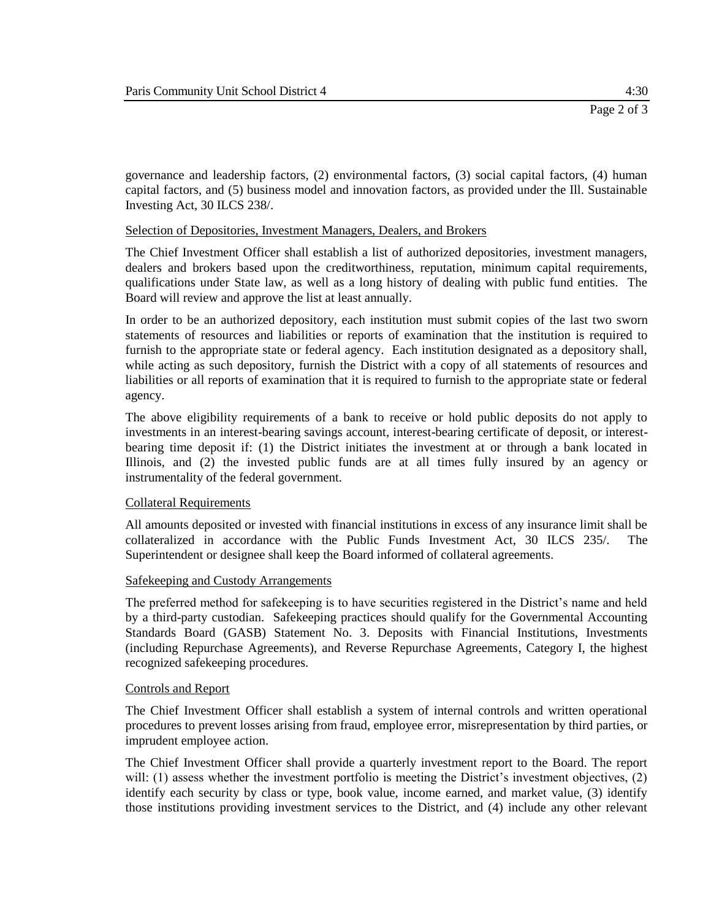governance and leadership factors, (2) environmental factors, (3) social capital factors, (4) human capital factors, and (5) business model and innovation factors, as provided under the Ill. Sustainable Investing Act, 30 ILCS 238/.

#### Selection of Depositories, Investment Managers, Dealers, and Brokers

The Chief Investment Officer shall establish a list of authorized depositories, investment managers, dealers and brokers based upon the creditworthiness, reputation, minimum capital requirements, qualifications under State law, as well as a long history of dealing with public fund entities. The Board will review and approve the list at least annually.

In order to be an authorized depository, each institution must submit copies of the last two sworn statements of resources and liabilities or reports of examination that the institution is required to furnish to the appropriate state or federal agency. Each institution designated as a depository shall, while acting as such depository, furnish the District with a copy of all statements of resources and liabilities or all reports of examination that it is required to furnish to the appropriate state or federal agency.

The above eligibility requirements of a bank to receive or hold public deposits do not apply to investments in an interest-bearing savings account, interest-bearing certificate of deposit, or interestbearing time deposit if: (1) the District initiates the investment at or through a bank located in Illinois, and (2) the invested public funds are at all times fully insured by an agency or instrumentality of the federal government.

#### Collateral Requirements

All amounts deposited or invested with financial institutions in excess of any insurance limit shall be collateralized in accordance with the Public Funds Investment Act, 30 ILCS 235/. The Superintendent or designee shall keep the Board informed of collateral agreements.

#### Safekeeping and Custody Arrangements

The preferred method for safekeeping is to have securities registered in the District's name and held by a third-party custodian. Safekeeping practices should qualify for the Governmental Accounting Standards Board (GASB) Statement No. 3. Deposits with Financial Institutions, Investments (including Repurchase Agreements), and Reverse Repurchase Agreements, Category I, the highest recognized safekeeping procedures.

#### Controls and Report

The Chief Investment Officer shall establish a system of internal controls and written operational procedures to prevent losses arising from fraud, employee error, misrepresentation by third parties, or imprudent employee action.

The Chief Investment Officer shall provide a quarterly investment report to the Board. The report will: (1) assess whether the investment portfolio is meeting the District's investment objectives, (2) identify each security by class or type, book value, income earned, and market value, (3) identify those institutions providing investment services to the District, and (4) include any other relevant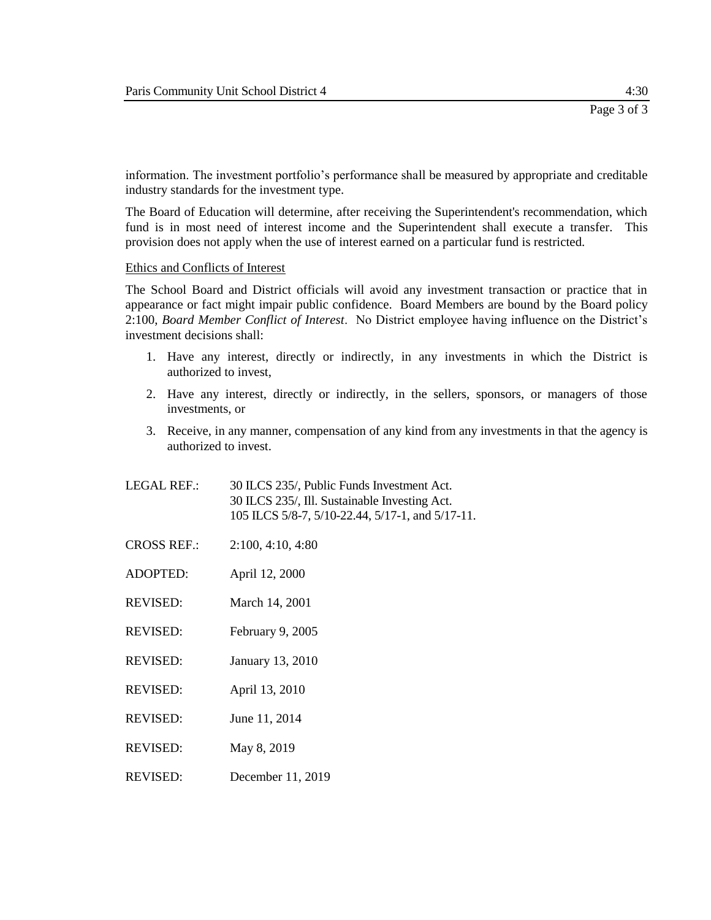information. The investment portfolio's performance shall be measured by appropriate and creditable industry standards for the investment type.

The Board of Education will determine, after receiving the Superintendent's recommendation, which fund is in most need of interest income and the Superintendent shall execute a transfer. This provision does not apply when the use of interest earned on a particular fund is restricted.

#### Ethics and Conflicts of Interest

The School Board and District officials will avoid any investment transaction or practice that in appearance or fact might impair public confidence. Board Members are bound by the Board policy 2:100, *Board Member Conflict of Interest*. No District employee having influence on the District's investment decisions shall:

- 1. Have any interest, directly or indirectly, in any investments in which the District is authorized to invest,
- 2. Have any interest, directly or indirectly, in the sellers, sponsors, or managers of those investments, or
- 3. Receive, in any manner, compensation of any kind from any investments in that the agency is authorized to invest.
- LEGAL REF.: 30 ILCS 235/, Public Funds Investment Act. 30 ILCS 235/, Ill. Sustainable Investing Act. 105 ILCS 5/8-7, 5/10-22.44, 5/17-1, and 5/17-11.
- CROSS REF.: 2:100, 4:10, 4:80
- ADOPTED: April 12, 2000
- REVISED: March 14, 2001
- REVISED: February 9, 2005
- REVISED: January 13, 2010
- REVISED: April 13, 2010
- REVISED: June 11, 2014
- REVISED: May 8, 2019
- REVISED: December 11, 2019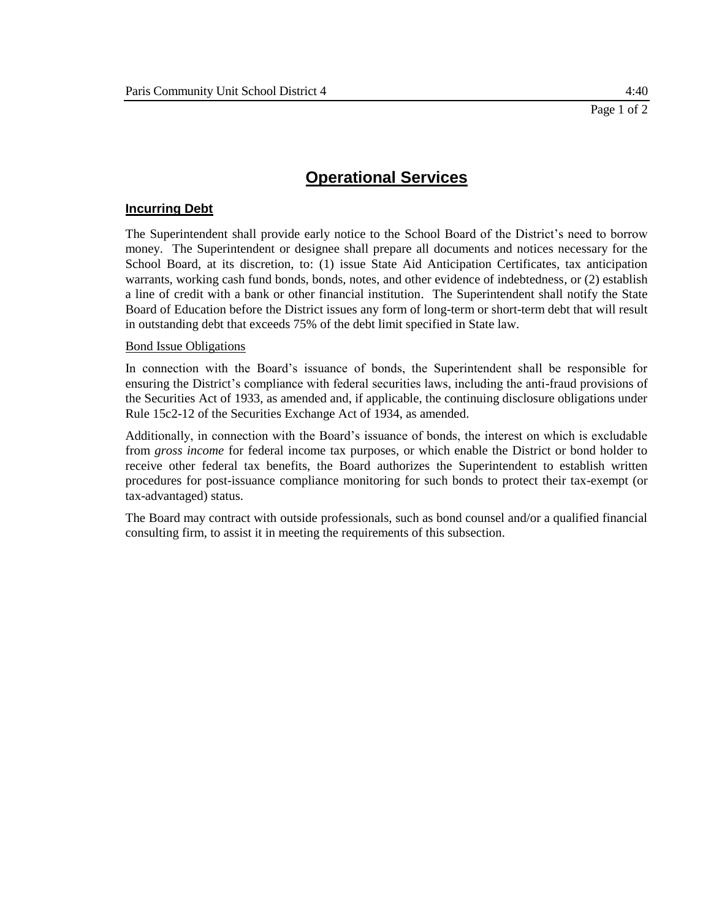## **Incurring Debt**

The Superintendent shall provide early notice to the School Board of the District's need to borrow money. The Superintendent or designee shall prepare all documents and notices necessary for the School Board, at its discretion, to: (1) issue State Aid Anticipation Certificates, tax anticipation warrants, working cash fund bonds, bonds, notes, and other evidence of indebtedness, or (2) establish a line of credit with a bank or other financial institution. The Superintendent shall notify the State Board of Education before the District issues any form of long-term or short-term debt that will result in outstanding debt that exceeds 75% of the debt limit specified in State law.

#### Bond Issue Obligations

In connection with the Board's issuance of bonds, the Superintendent shall be responsible for ensuring the District's compliance with federal securities laws, including the anti-fraud provisions of the Securities Act of 1933, as amended and, if applicable, the continuing disclosure obligations under Rule 15c2-12 of the Securities Exchange Act of 1934, as amended.

Additionally, in connection with the Board's issuance of bonds, the interest on which is excludable from *gross income* for federal income tax purposes, or which enable the District or bond holder to receive other federal tax benefits, the Board authorizes the Superintendent to establish written procedures for post-issuance compliance monitoring for such bonds to protect their tax-exempt (or tax-advantaged) status.

The Board may contract with outside professionals, such as bond counsel and/or a qualified financial consulting firm, to assist it in meeting the requirements of this subsection.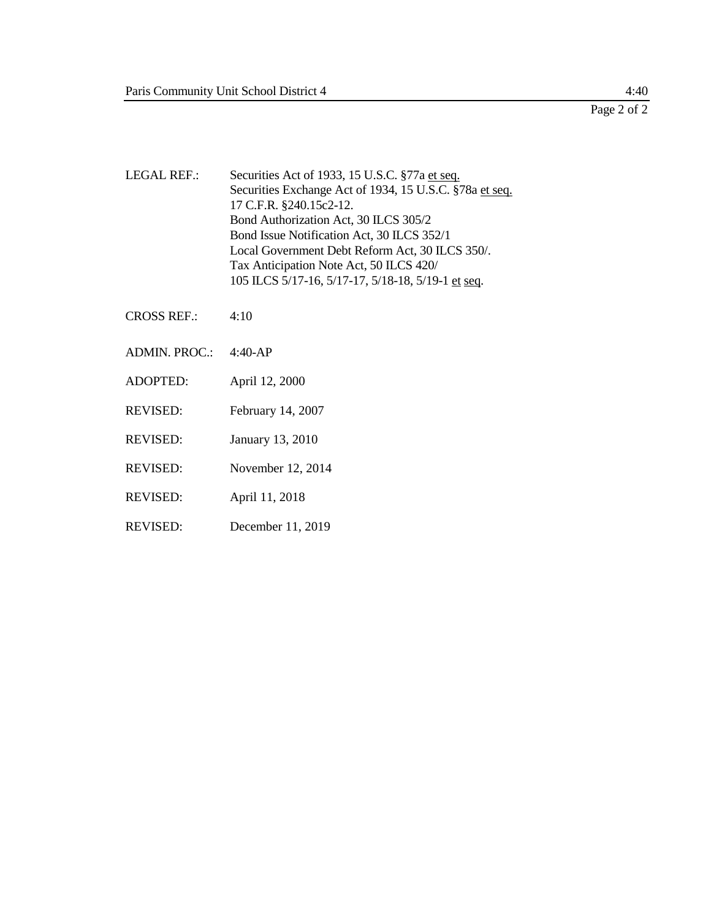$\frac{4:40}{\text{Page 2 of 2}}$ 

| <b>LEGAL REF.:</b> | Securities Act of 1933, 15 U.S.C. §77a et seq.<br>Securities Exchange Act of 1934, 15 U.S.C. §78a et seq.<br>17 C.F.R. §240.15c2-12.<br>Bond Authorization Act, 30 ILCS 305/2<br>Bond Issue Notification Act, 30 ILCS 352/1<br>Local Government Debt Reform Act, 30 ILCS 350/.<br>Tax Anticipation Note Act, 50 ILCS 420/<br>105 ILCS 5/17-16, 5/17-17, 5/18-18, 5/19-1 et seq. |
|--------------------|---------------------------------------------------------------------------------------------------------------------------------------------------------------------------------------------------------------------------------------------------------------------------------------------------------------------------------------------------------------------------------|
| <b>CROSS REF.:</b> | 4:10                                                                                                                                                                                                                                                                                                                                                                            |
| ADMIN. PROC.:      | $4:40-AP$                                                                                                                                                                                                                                                                                                                                                                       |
| <b>ADOPTED:</b>    | April 12, 2000                                                                                                                                                                                                                                                                                                                                                                  |
| <b>REVISED:</b>    | February 14, 2007                                                                                                                                                                                                                                                                                                                                                               |
| <b>REVISED:</b>    | January 13, 2010                                                                                                                                                                                                                                                                                                                                                                |
| <b>REVISED:</b>    | November 12, 2014                                                                                                                                                                                                                                                                                                                                                               |

- REVISED: April 11, 2018
- REVISED: December 11, 2019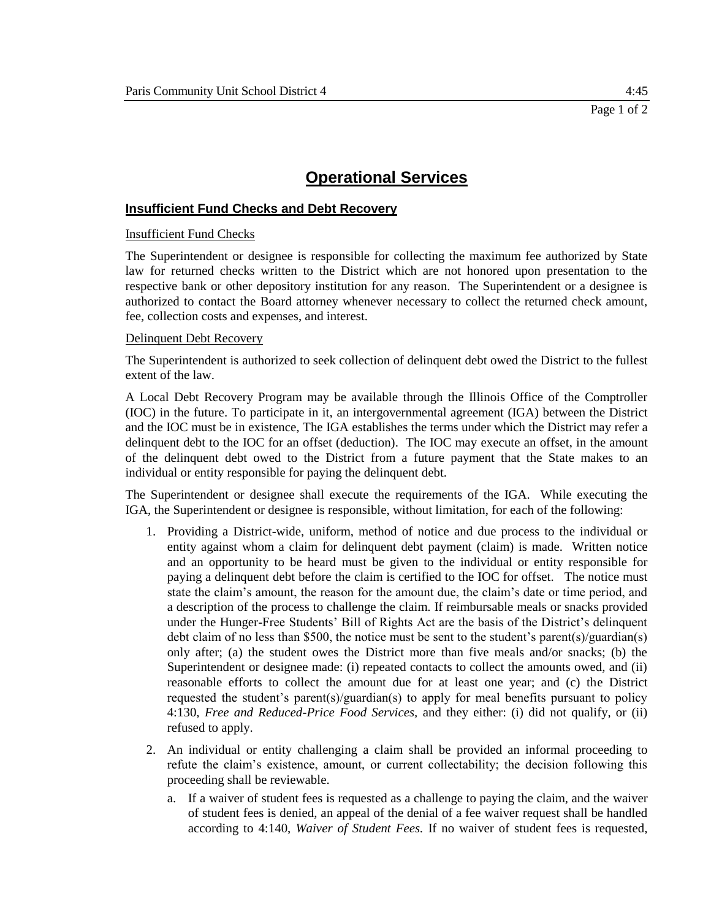## **Insufficient Fund Checks and Debt Recovery**

#### Insufficient Fund Checks

The Superintendent or designee is responsible for collecting the maximum fee authorized by State law for returned checks written to the District which are not honored upon presentation to the respective bank or other depository institution for any reason. The Superintendent or a designee is authorized to contact the Board attorney whenever necessary to collect the returned check amount, fee, collection costs and expenses, and interest.

#### Delinquent Debt Recovery

The Superintendent is authorized to seek collection of delinquent debt owed the District to the fullest extent of the law.

A Local Debt Recovery Program may be available through the Illinois Office of the Comptroller (IOC) in the future. To participate in it, an intergovernmental agreement (IGA) between the District and the IOC must be in existence, The IGA establishes the terms under which the District may refer a delinquent debt to the IOC for an offset (deduction). The IOC may execute an offset, in the amount of the delinquent debt owed to the District from a future payment that the State makes to an individual or entity responsible for paying the delinquent debt.

The Superintendent or designee shall execute the requirements of the IGA. While executing the IGA, the Superintendent or designee is responsible, without limitation, for each of the following:

- 1. Providing a District-wide, uniform, method of notice and due process to the individual or entity against whom a claim for delinquent debt payment (claim) is made. Written notice and an opportunity to be heard must be given to the individual or entity responsible for paying a delinquent debt before the claim is certified to the IOC for offset. The notice must state the claim's amount, the reason for the amount due, the claim's date or time period, and a description of the process to challenge the claim. If reimbursable meals or snacks provided under the Hunger-Free Students' Bill of Rights Act are the basis of the District's delinquent debt claim of no less than \$500, the notice must be sent to the student's parent(s)/guardian(s) only after; (a) the student owes the District more than five meals and/or snacks; (b) the Superintendent or designee made: (i) repeated contacts to collect the amounts owed, and (ii) reasonable efforts to collect the amount due for at least one year; and (c) the District requested the student's parent(s)/guardian(s) to apply for meal benefits pursuant to policy 4:130, *Free and Reduced-Price Food Services,* and they either: (i) did not qualify, or (ii) refused to apply.
- 2. An individual or entity challenging a claim shall be provided an informal proceeding to refute the claim's existence, amount, or current collectability; the decision following this proceeding shall be reviewable.
	- a. If a waiver of student fees is requested as a challenge to paying the claim, and the waiver of student fees is denied, an appeal of the denial of a fee waiver request shall be handled according to 4:140, *Waiver of Student Fees.* If no waiver of student fees is requested,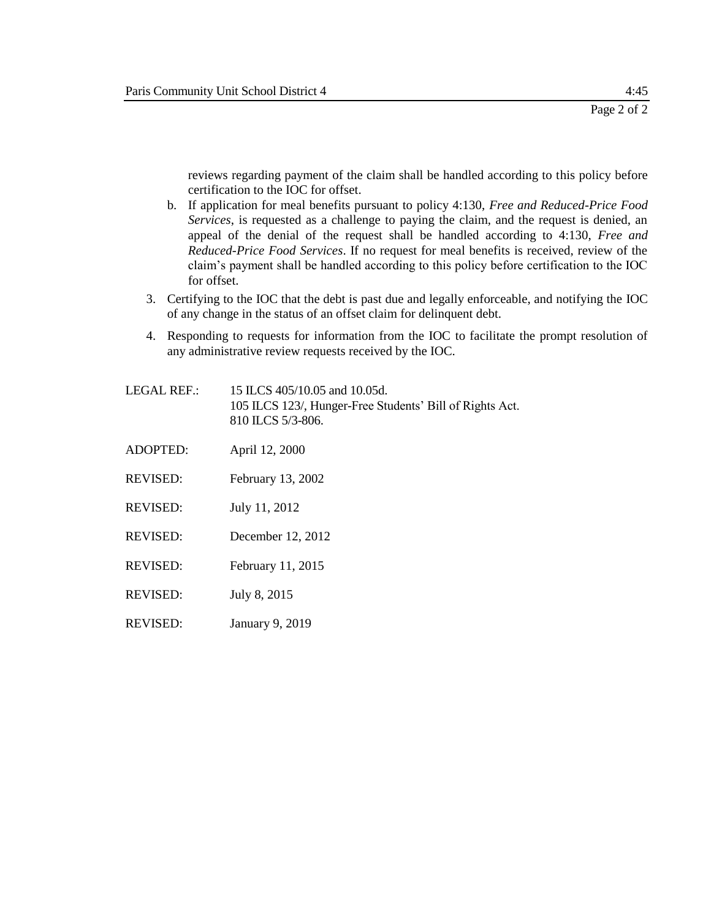reviews regarding payment of the claim shall be handled according to this policy before certification to the IOC for offset.

- b. If application for meal benefits pursuant to policy 4:130, *Free and Reduced-Price Food Services*, is requested as a challenge to paying the claim, and the request is denied, an appeal of the denial of the request shall be handled according to 4:130, *Free and Reduced-Price Food Services*. If no request for meal benefits is received, review of the claim's payment shall be handled according to this policy before certification to the IOC for offset.
- 3. Certifying to the IOC that the debt is past due and legally enforceable, and notifying the IOC of any change in the status of an offset claim for delinquent debt.
- 4. Responding to requests for information from the IOC to facilitate the prompt resolution of any administrative review requests received by the IOC.
- LEGAL REF.: 15 ILCS 405/10.05 and 10.05d. 105 ILCS 123/, Hunger-Free Students' Bill of Rights Act. 810 ILCS 5/3-806.
- ADOPTED: April 12, 2000
- REVISED: February 13, 2002
- REVISED: July 11, 2012
- REVISED: December 12, 2012
- REVISED: February 11, 2015
- REVISED: July 8, 2015
- REVISED: January 9, 2019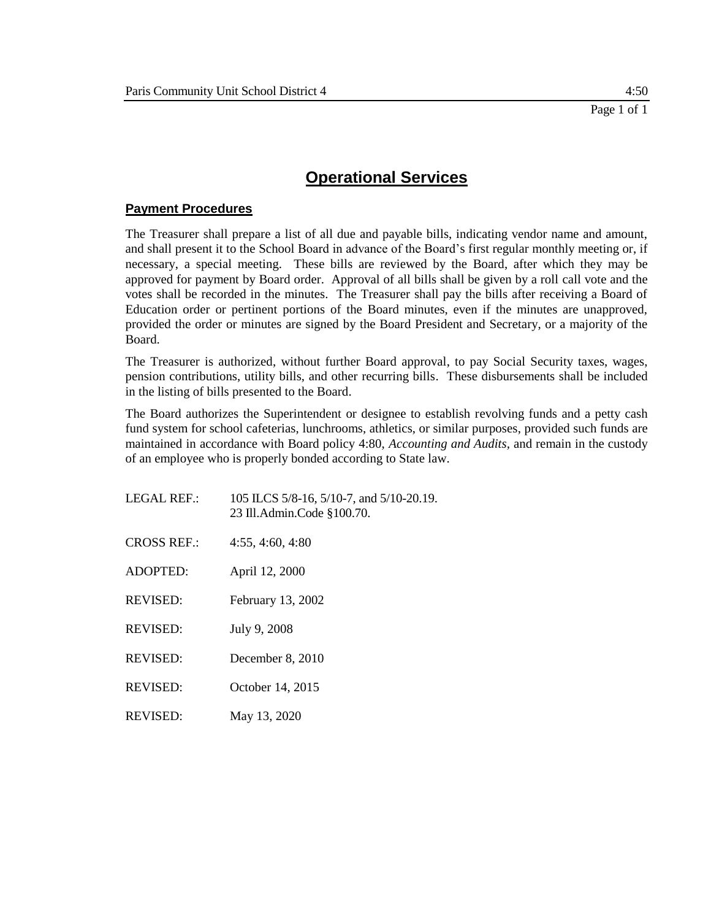# **Payment Procedures**

The Treasurer shall prepare a list of all due and payable bills, indicating vendor name and amount, and shall present it to the School Board in advance of the Board's first regular monthly meeting or, if necessary, a special meeting. These bills are reviewed by the Board, after which they may be approved for payment by Board order. Approval of all bills shall be given by a roll call vote and the votes shall be recorded in the minutes. The Treasurer shall pay the bills after receiving a Board of Education order or pertinent portions of the Board minutes, even if the minutes are unapproved, provided the order or minutes are signed by the Board President and Secretary, or a majority of the Board.

The Treasurer is authorized, without further Board approval, to pay Social Security taxes, wages, pension contributions, utility bills, and other recurring bills. These disbursements shall be included in the listing of bills presented to the Board.

The Board authorizes the Superintendent or designee to establish revolving funds and a petty cash fund system for school cafeterias, lunchrooms, athletics, or similar purposes, provided such funds are maintained in accordance with Board policy 4:80, *Accounting and Audits,* and remain in the custody of an employee who is properly bonded according to State law.

| LEGAL REF.:        | 105 ILCS 5/8-16, 5/10-7, and 5/10-20.19.<br>23 Ill.Admin.Code §100.70. |
|--------------------|------------------------------------------------------------------------|
| <b>CROSS REF.:</b> | 4:55, 4:60, 4:80                                                       |
| <b>ADOPTED:</b>    | April 12, 2000                                                         |
| <b>REVISED:</b>    | February 13, 2002                                                      |
| <b>REVISED:</b>    | July 9, 2008                                                           |
| <b>REVISED:</b>    | December 8, 2010                                                       |
| <b>REVISED:</b>    | October 14, 2015                                                       |
| <b>REVISED:</b>    | May 13, 2020                                                           |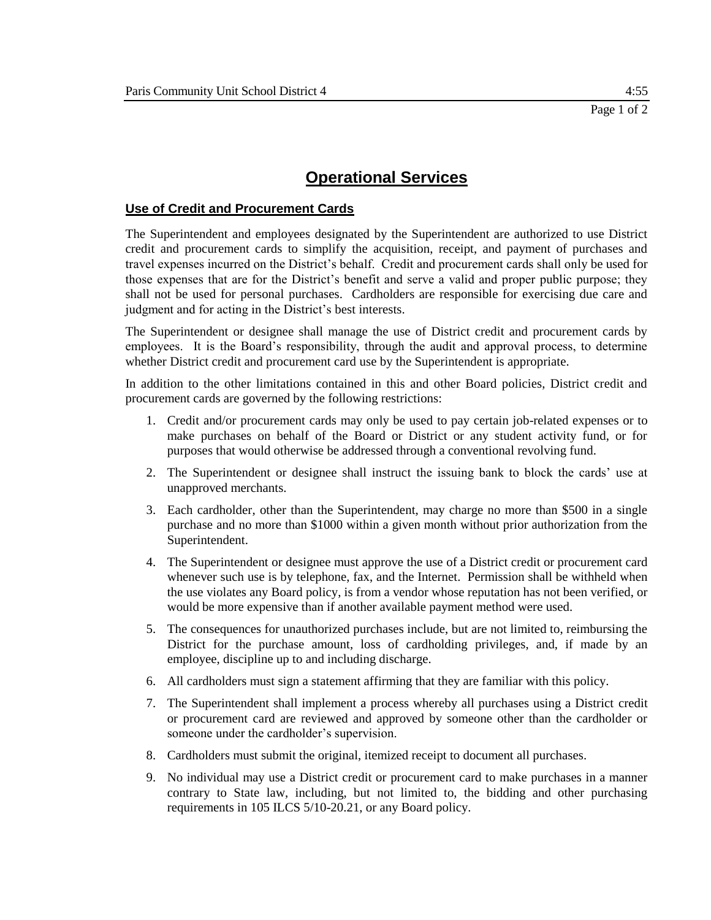## **Use of Credit and Procurement Cards**

The Superintendent and employees designated by the Superintendent are authorized to use District credit and procurement cards to simplify the acquisition, receipt, and payment of purchases and travel expenses incurred on the District's behalf. Credit and procurement cards shall only be used for those expenses that are for the District's benefit and serve a valid and proper public purpose; they shall not be used for personal purchases. Cardholders are responsible for exercising due care and judgment and for acting in the District's best interests.

The Superintendent or designee shall manage the use of District credit and procurement cards by employees. It is the Board's responsibility, through the audit and approval process, to determine whether District credit and procurement card use by the Superintendent is appropriate.

In addition to the other limitations contained in this and other Board policies, District credit and procurement cards are governed by the following restrictions:

- 1. Credit and/or procurement cards may only be used to pay certain job-related expenses or to make purchases on behalf of the Board or District or any student activity fund, or for purposes that would otherwise be addressed through a conventional revolving fund.
- 2. The Superintendent or designee shall instruct the issuing bank to block the cards' use at unapproved merchants.
- 3. Each cardholder, other than the Superintendent, may charge no more than \$500 in a single purchase and no more than \$1000 within a given month without prior authorization from the Superintendent.
- 4. The Superintendent or designee must approve the use of a District credit or procurement card whenever such use is by telephone, fax, and the Internet. Permission shall be withheld when the use violates any Board policy, is from a vendor whose reputation has not been verified, or would be more expensive than if another available payment method were used.
- 5. The consequences for unauthorized purchases include, but are not limited to, reimbursing the District for the purchase amount, loss of cardholding privileges, and, if made by an employee, discipline up to and including discharge.
- 6. All cardholders must sign a statement affirming that they are familiar with this policy.
- 7. The Superintendent shall implement a process whereby all purchases using a District credit or procurement card are reviewed and approved by someone other than the cardholder or someone under the cardholder's supervision.
- 8. Cardholders must submit the original, itemized receipt to document all purchases.
- 9. No individual may use a District credit or procurement card to make purchases in a manner contrary to State law, including, but not limited to, the bidding and other purchasing requirements in 105 ILCS 5/10-20.21, or any Board policy.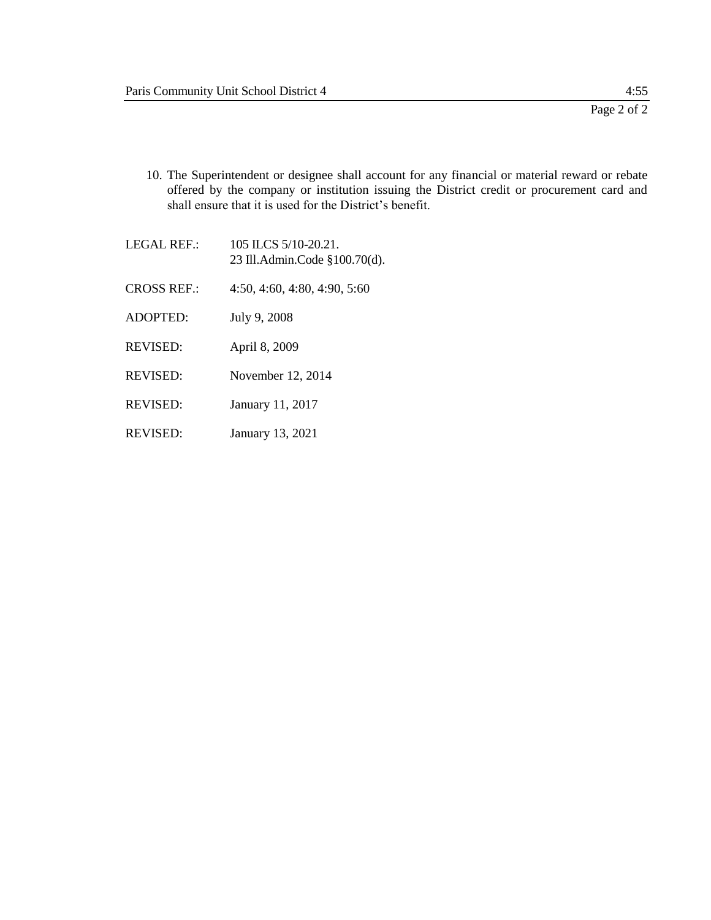- 10. The Superintendent or designee shall account for any financial or material reward or rebate offered by the company or institution issuing the District credit or procurement card and shall ensure that it is used for the District's benefit.
- LEGAL REF.: 105 ILCS 5/10-20.21. 23 Ill.Admin.Code §100.70(d). CROSS REF.: 4:50, 4:60, 4:80, 4:90, 5:60 ADOPTED: July 9, 2008 REVISED: April 8, 2009 REVISED: November 12, 2014 REVISED: January 11, 2017 REVISED: January 13, 2021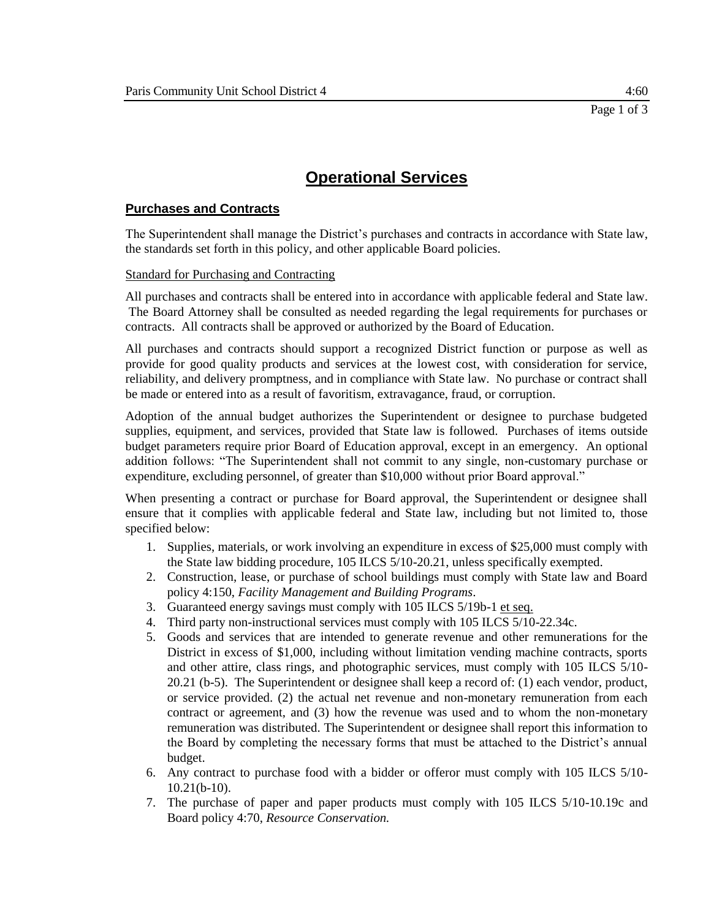# **Purchases and Contracts**

The Superintendent shall manage the District's purchases and contracts in accordance with State law, the standards set forth in this policy, and other applicable Board policies.

## Standard for Purchasing and Contracting

All purchases and contracts shall be entered into in accordance with applicable federal and State law. The Board Attorney shall be consulted as needed regarding the legal requirements for purchases or contracts. All contracts shall be approved or authorized by the Board of Education.

All purchases and contracts should support a recognized District function or purpose as well as provide for good quality products and services at the lowest cost, with consideration for service, reliability, and delivery promptness, and in compliance with State law. No purchase or contract shall be made or entered into as a result of favoritism, extravagance, fraud, or corruption.

Adoption of the annual budget authorizes the Superintendent or designee to purchase budgeted supplies, equipment, and services, provided that State law is followed. Purchases of items outside budget parameters require prior Board of Education approval, except in an emergency. An optional addition follows: "The Superintendent shall not commit to any single, non-customary purchase or expenditure, excluding personnel, of greater than \$10,000 without prior Board approval."

When presenting a contract or purchase for Board approval, the Superintendent or designee shall ensure that it complies with applicable federal and State law, including but not limited to, those specified below:

- 1. Supplies, materials, or work involving an expenditure in excess of \$25,000 must comply with the State law bidding procedure, 105 ILCS 5/10-20.21, unless specifically exempted.
- 2. Construction, lease, or purchase of school buildings must comply with State law and Board policy 4:150, *Facility Management and Building Programs*.
- 3. Guaranteed energy savings must comply with 105 ILCS 5/19b-1 et seq.
- 4. Third party non-instructional services must comply with 105 ILCS 5/10-22.34c.
- 5. Goods and services that are intended to generate revenue and other remunerations for the District in excess of \$1,000, including without limitation vending machine contracts, sports and other attire, class rings, and photographic services, must comply with 105 ILCS 5/10- 20.21 (b-5). The Superintendent or designee shall keep a record of: (1) each vendor, product, or service provided. (2) the actual net revenue and non-monetary remuneration from each contract or agreement, and (3) how the revenue was used and to whom the non-monetary remuneration was distributed. The Superintendent or designee shall report this information to the Board by completing the necessary forms that must be attached to the District's annual budget.
- 6. Any contract to purchase food with a bidder or offeror must comply with 105 ILCS 5/10- 10.21(b-10).
- 7. The purchase of paper and paper products must comply with 105 ILCS 5/10-10.19c and Board policy 4:70, *Resource Conservation.*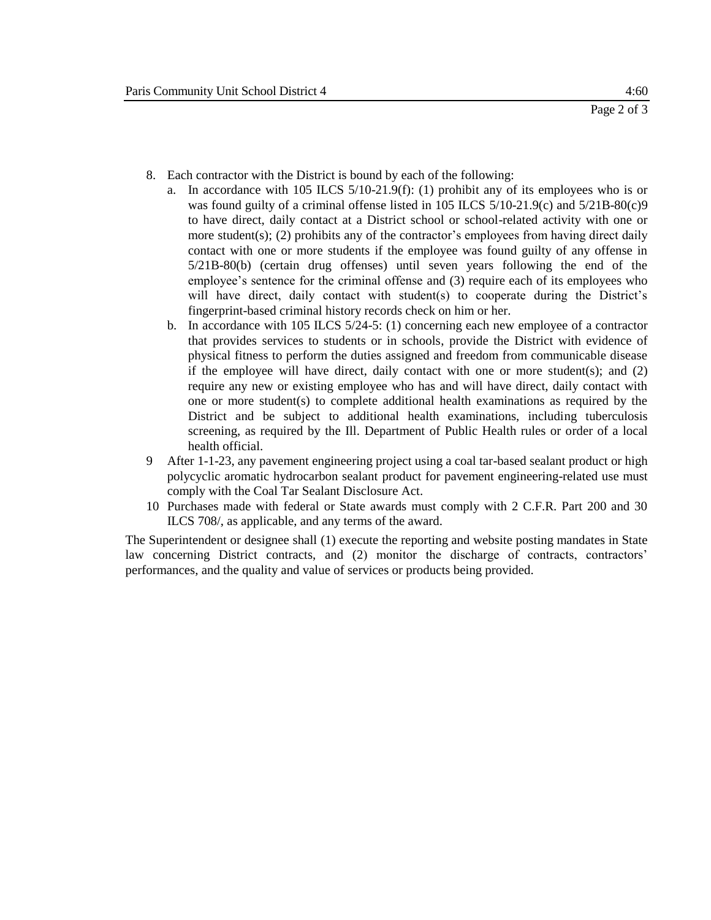- 8. Each contractor with the District is bound by each of the following:
	- a. In accordance with 105 ILCS 5/10-21.9(f): (1) prohibit any of its employees who is or was found guilty of a criminal offense listed in 105 ILCS 5/10-21.9(c) and 5/21B-80(c)9 to have direct, daily contact at a District school or school-related activity with one or more student(s); (2) prohibits any of the contractor's employees from having direct daily contact with one or more students if the employee was found guilty of any offense in 5/21B-80(b) (certain drug offenses) until seven years following the end of the employee's sentence for the criminal offense and (3) require each of its employees who will have direct, daily contact with student(s) to cooperate during the District's fingerprint-based criminal history records check on him or her.
	- b. In accordance with 105 ILCS 5/24-5: (1) concerning each new employee of a contractor that provides services to students or in schools, provide the District with evidence of physical fitness to perform the duties assigned and freedom from communicable disease if the employee will have direct, daily contact with one or more student(s); and (2) require any new or existing employee who has and will have direct, daily contact with one or more student(s) to complete additional health examinations as required by the District and be subject to additional health examinations, including tuberculosis screening, as required by the Ill. Department of Public Health rules or order of a local health official.
- 9 After 1-1-23, any pavement engineering project using a coal tar-based sealant product or high polycyclic aromatic hydrocarbon sealant product for pavement engineering-related use must comply with the Coal Tar Sealant Disclosure Act.
- 10 Purchases made with federal or State awards must comply with 2 C.F.R. Part 200 and 30 ILCS 708/, as applicable, and any terms of the award.

The Superintendent or designee shall (1) execute the reporting and website posting mandates in State law concerning District contracts, and (2) monitor the discharge of contracts, contractors' performances, and the quality and value of services or products being provided.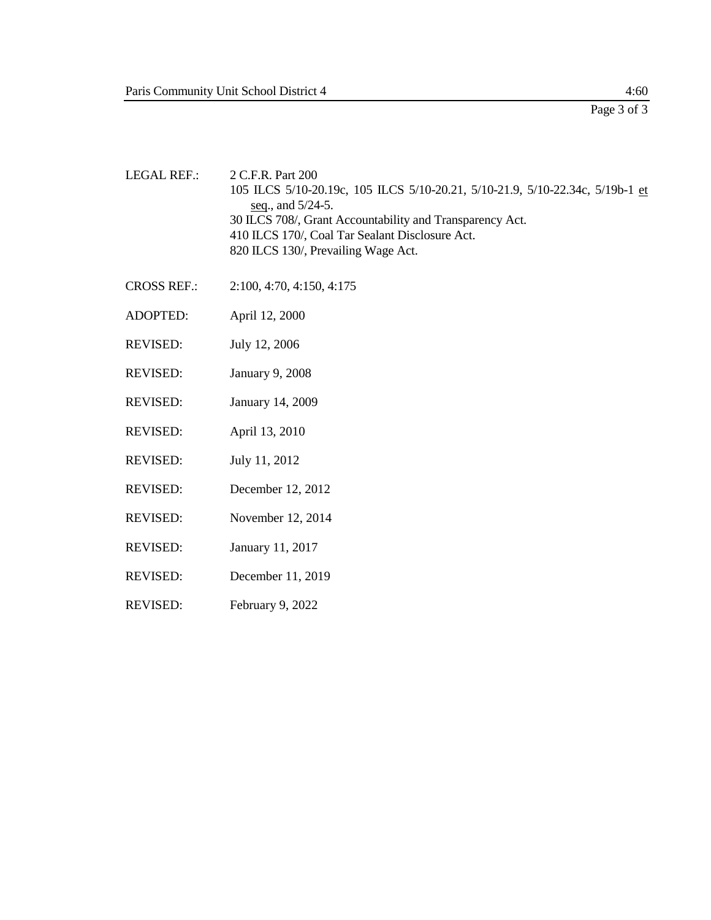- LEGAL REF.: 2 C.F.R. Part 200 105 ILCS 5/10-20.19c, 105 ILCS 5/10-20.21, 5/10-21.9, 5/10-22.34c, 5/19b-1 et seq., and 5/24-5. 30 ILCS 708/, Grant Accountability and Transparency Act. 410 ILCS 170/, Coal Tar Sealant Disclosure Act. 820 ILCS 130/, Prevailing Wage Act.
- CROSS REF.: 2:100, 4:70, 4:150, 4:175
- ADOPTED: April 12, 2000
- REVISED: July 12, 2006
- REVISED: January 9, 2008
- REVISED: January 14, 2009
- REVISED: April 13, 2010
- REVISED: July 11, 2012
- REVISED: December 12, 2012
- REVISED: November 12, 2014
- REVISED: January 11, 2017
- REVISED: December 11, 2019
- REVISED: February 9, 2022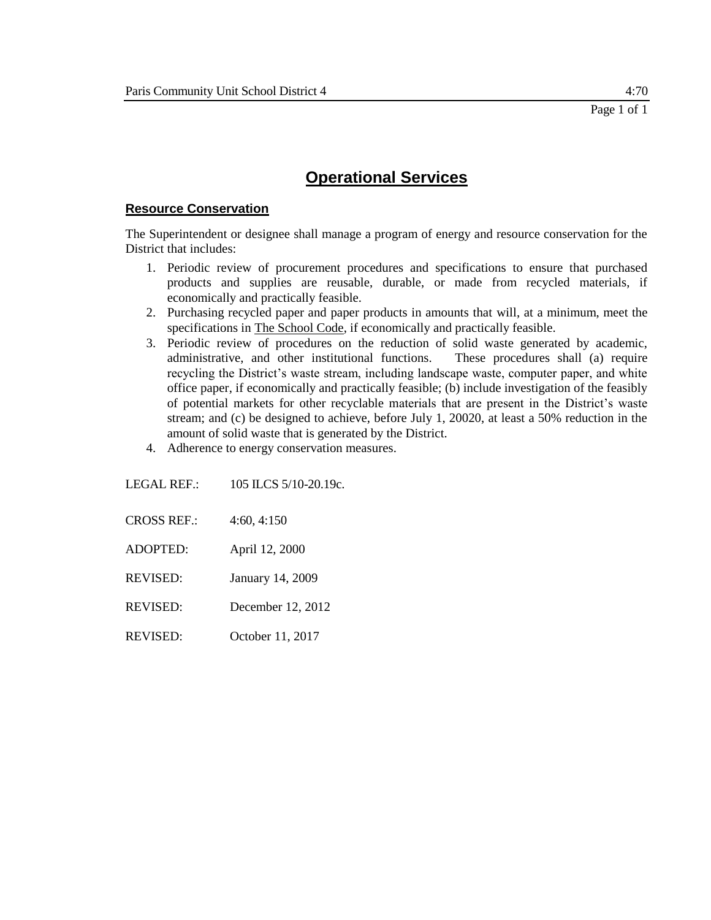# **Resource Conservation**

The Superintendent or designee shall manage a program of energy and resource conservation for the District that includes:

- 1. Periodic review of procurement procedures and specifications to ensure that purchased products and supplies are reusable, durable, or made from recycled materials, if economically and practically feasible.
- 2. Purchasing recycled paper and paper products in amounts that will, at a minimum, meet the specifications in The School Code, if economically and practically feasible.
- 3. Periodic review of procedures on the reduction of solid waste generated by academic, administrative, and other institutional functions. These procedures shall (a) require recycling the District's waste stream, including landscape waste, computer paper, and white office paper, if economically and practically feasible; (b) include investigation of the feasibly of potential markets for other recyclable materials that are present in the District's waste stream; and (c) be designed to achieve, before July 1, 20020, at least a 50% reduction in the amount of solid waste that is generated by the District.
- 4. Adherence to energy conservation measures.

LEGAL REF.: 105 ILCS 5/10-20.19c.

- CROSS REF.: 4:60, 4:150
- ADOPTED: April 12, 2000
- REVISED: January 14, 2009
- REVISED: December 12, 2012
- REVISED: October 11, 2017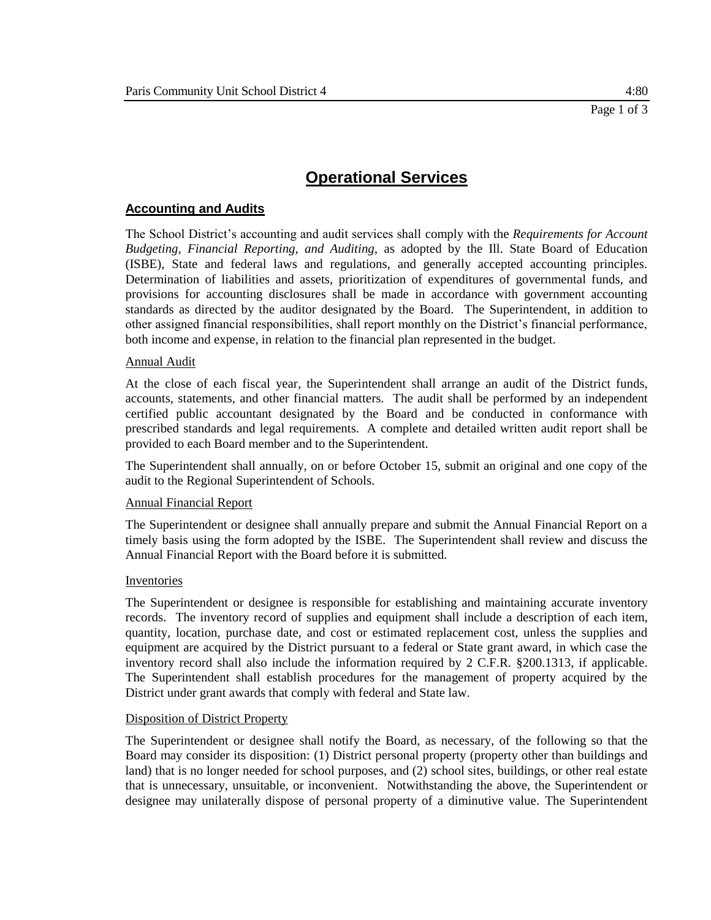# **Accounting and Audits**

The School District's accounting and audit services shall comply with the *Requirements for Account Budgeting, Financial Reporting, and Auditing,* as adopted by the Ill. State Board of Education (ISBE), State and federal laws and regulations, and generally accepted accounting principles. Determination of liabilities and assets, prioritization of expenditures of governmental funds, and provisions for accounting disclosures shall be made in accordance with government accounting standards as directed by the auditor designated by the Board. The Superintendent, in addition to other assigned financial responsibilities, shall report monthly on the District's financial performance, both income and expense, in relation to the financial plan represented in the budget.

### Annual Audit

At the close of each fiscal year, the Superintendent shall arrange an audit of the District funds, accounts, statements, and other financial matters. The audit shall be performed by an independent certified public accountant designated by the Board and be conducted in conformance with prescribed standards and legal requirements. A complete and detailed written audit report shall be provided to each Board member and to the Superintendent.

The Superintendent shall annually, on or before October 15, submit an original and one copy of the audit to the Regional Superintendent of Schools.

#### Annual Financial Report

The Superintendent or designee shall annually prepare and submit the Annual Financial Report on a timely basis using the form adopted by the ISBE. The Superintendent shall review and discuss the Annual Financial Report with the Board before it is submitted.

#### **Inventories**

The Superintendent or designee is responsible for establishing and maintaining accurate inventory records. The inventory record of supplies and equipment shall include a description of each item, quantity, location, purchase date, and cost or estimated replacement cost, unless the supplies and equipment are acquired by the District pursuant to a federal or State grant award, in which case the inventory record shall also include the information required by 2 C.F.R. §200.1313, if applicable. The Superintendent shall establish procedures for the management of property acquired by the District under grant awards that comply with federal and State law.

#### Disposition of District Property

The Superintendent or designee shall notify the Board, as necessary, of the following so that the Board may consider its disposition: (1) District personal property (property other than buildings and land) that is no longer needed for school purposes, and (2) school sites, buildings, or other real estate that is unnecessary, unsuitable, or inconvenient. Notwithstanding the above, the Superintendent or designee may unilaterally dispose of personal property of a diminutive value. The Superintendent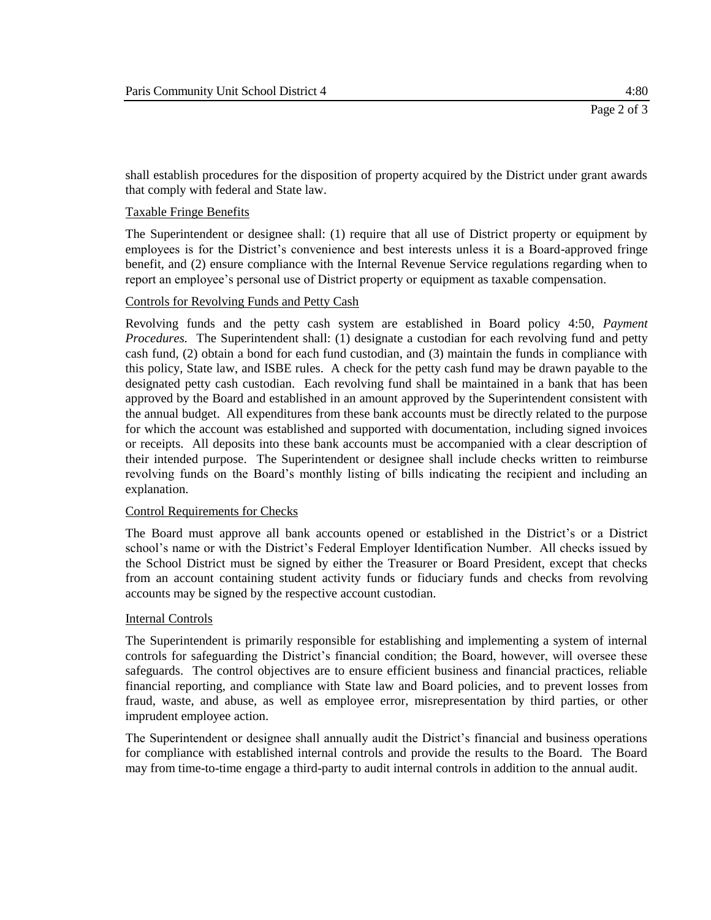shall establish procedures for the disposition of property acquired by the District under grant awards that comply with federal and State law.

### Taxable Fringe Benefits

The Superintendent or designee shall: (1) require that all use of District property or equipment by employees is for the District's convenience and best interests unless it is a Board-approved fringe benefit, and (2) ensure compliance with the Internal Revenue Service regulations regarding when to report an employee's personal use of District property or equipment as taxable compensation.

#### Controls for Revolving Funds and Petty Cash

Revolving funds and the petty cash system are established in Board policy 4:50, *Payment Procedures.* The Superintendent shall: (1) designate a custodian for each revolving fund and petty cash fund, (2) obtain a bond for each fund custodian, and (3) maintain the funds in compliance with this policy, State law, and ISBE rules. A check for the petty cash fund may be drawn payable to the designated petty cash custodian. Each revolving fund shall be maintained in a bank that has been approved by the Board and established in an amount approved by the Superintendent consistent with the annual budget. All expenditures from these bank accounts must be directly related to the purpose for which the account was established and supported with documentation, including signed invoices or receipts. All deposits into these bank accounts must be accompanied with a clear description of their intended purpose. The Superintendent or designee shall include checks written to reimburse revolving funds on the Board's monthly listing of bills indicating the recipient and including an explanation.

### Control Requirements for Checks

The Board must approve all bank accounts opened or established in the District's or a District school's name or with the District's Federal Employer Identification Number. All checks issued by the School District must be signed by either the Treasurer or Board President, except that checks from an account containing student activity funds or fiduciary funds and checks from revolving accounts may be signed by the respective account custodian.

#### Internal Controls

The Superintendent is primarily responsible for establishing and implementing a system of internal controls for safeguarding the District's financial condition; the Board, however, will oversee these safeguards. The control objectives are to ensure efficient business and financial practices, reliable financial reporting, and compliance with State law and Board policies, and to prevent losses from fraud, waste, and abuse, as well as employee error, misrepresentation by third parties, or other imprudent employee action.

The Superintendent or designee shall annually audit the District's financial and business operations for compliance with established internal controls and provide the results to the Board. The Board may from time-to-time engage a third-party to audit internal controls in addition to the annual audit.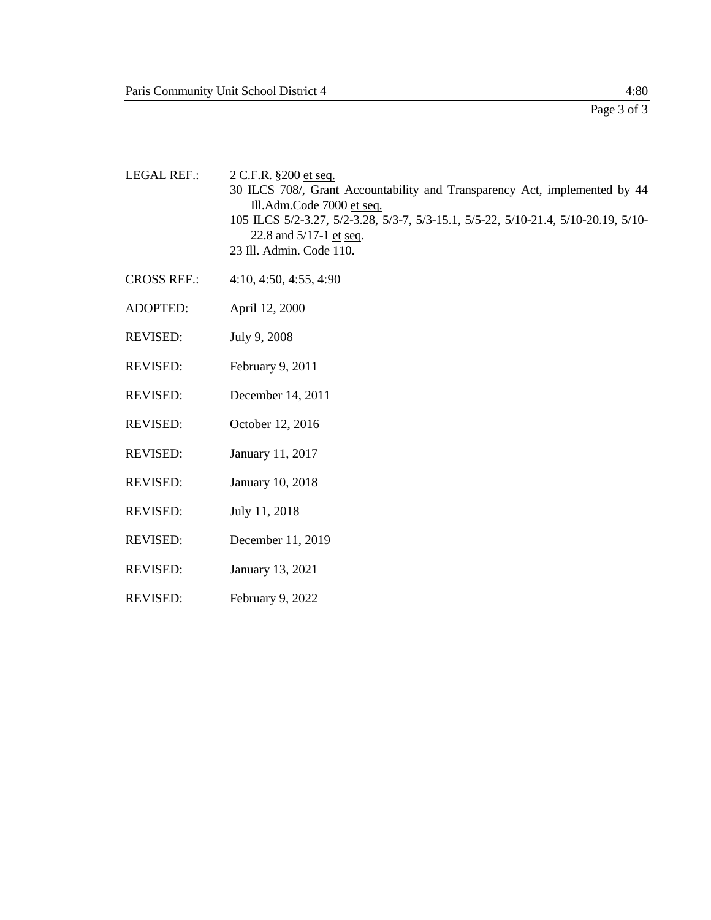- LEGAL REF.: 2 C.F.R. §200 et seq. 30 ILCS 708/, Grant Accountability and Transparency Act, implemented by 44 Ill.Adm.Code 7000 et seq. 105 ILCS 5/2-3.27, 5/2-3.28, 5/3-7, 5/3-15.1, 5/5-22, 5/10-21.4, 5/10-20.19, 5/10- 22.8 and 5/17-1 et seq. 23 Ill. Admin. Code 110.
- CROSS REF.: 4:10, 4:50, 4:55, 4:90
- ADOPTED: April 12, 2000
- REVISED: July 9, 2008
- REVISED: February 9, 2011
- REVISED: December 14, 2011
- REVISED: October 12, 2016
- REVISED: January 11, 2017
- REVISED: January 10, 2018
- REVISED: July 11, 2018
- REVISED: December 11, 2019
- REVISED: January 13, 2021
- REVISED: February 9, 2022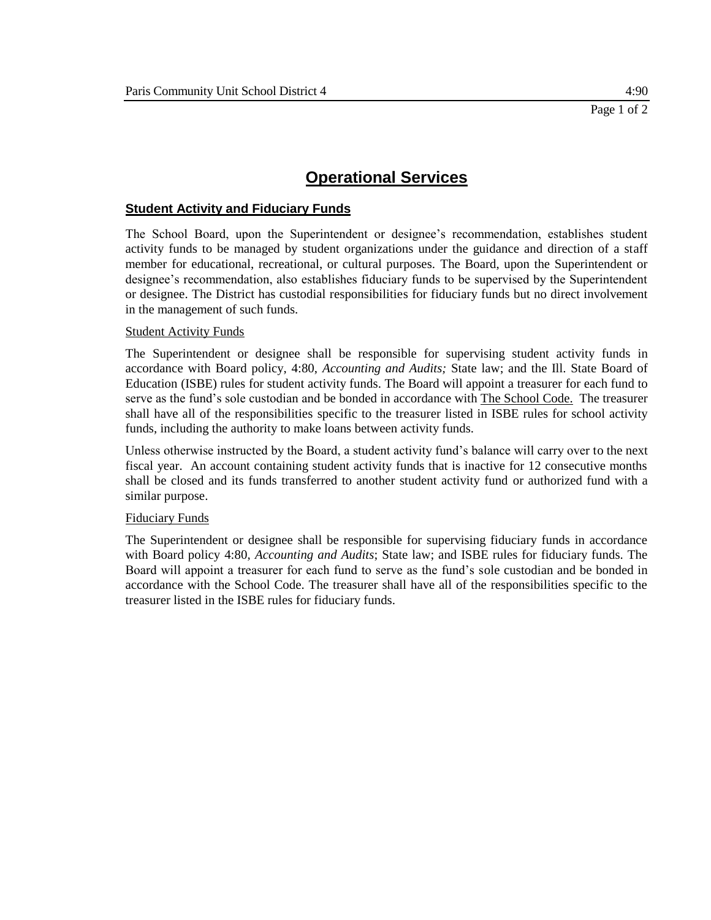# **Student Activity and Fiduciary Funds**

The School Board, upon the Superintendent or designee's recommendation, establishes student activity funds to be managed by student organizations under the guidance and direction of a staff member for educational, recreational, or cultural purposes. The Board, upon the Superintendent or designee's recommendation, also establishes fiduciary funds to be supervised by the Superintendent or designee. The District has custodial responsibilities for fiduciary funds but no direct involvement in the management of such funds.

#### Student Activity Funds

The Superintendent or designee shall be responsible for supervising student activity funds in accordance with Board policy, 4:80, *Accounting and Audits;* State law; and the Ill. State Board of Education (ISBE) rules for student activity funds. The Board will appoint a treasurer for each fund to serve as the fund's sole custodian and be bonded in accordance with The School Code. The treasurer shall have all of the responsibilities specific to the treasurer listed in ISBE rules for school activity funds, including the authority to make loans between activity funds.

Unless otherwise instructed by the Board, a student activity fund's balance will carry over to the next fiscal year. An account containing student activity funds that is inactive for 12 consecutive months shall be closed and its funds transferred to another student activity fund or authorized fund with a similar purpose.

### Fiduciary Funds

The Superintendent or designee shall be responsible for supervising fiduciary funds in accordance with Board policy 4:80, *Accounting and Audits*; State law; and ISBE rules for fiduciary funds. The Board will appoint a treasurer for each fund to serve as the fund's sole custodian and be bonded in accordance with the School Code. The treasurer shall have all of the responsibilities specific to the treasurer listed in the ISBE rules for fiduciary funds.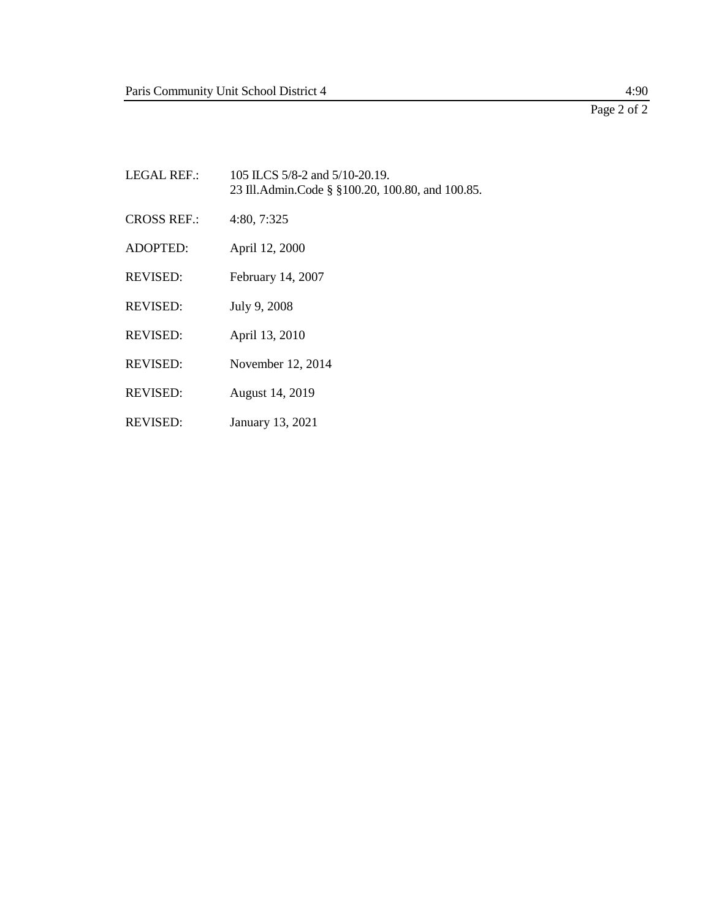# Page 2 of 2

- LEGAL REF.: 105 ILCS 5/8-2 and 5/10-20.19. 23 Ill.Admin.Code § §100.20, 100.80, and 100.85. CROSS REF.: 4:80, 7:325 ADOPTED: April 12, 2000 REVISED: February 14, 2007 REVISED: July 9, 2008 REVISED: April 13, 2010 REVISED: November 12, 2014 REVISED: August 14, 2019
- REVISED: January 13, 2021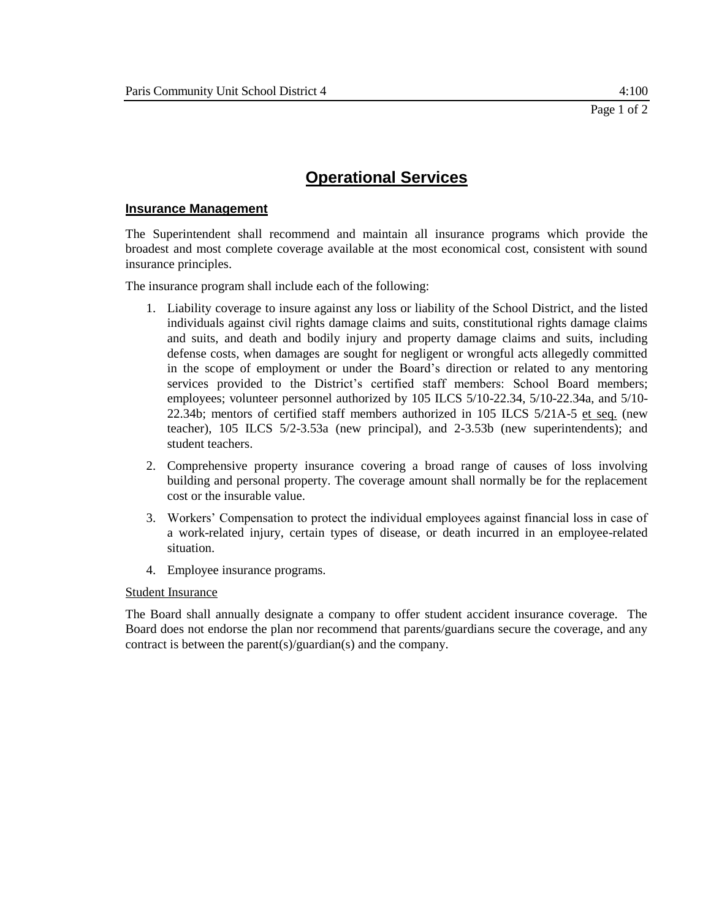## **Insurance Management**

The Superintendent shall recommend and maintain all insurance programs which provide the broadest and most complete coverage available at the most economical cost, consistent with sound insurance principles.

The insurance program shall include each of the following:

- 1. Liability coverage to insure against any loss or liability of the School District, and the listed individuals against civil rights damage claims and suits, constitutional rights damage claims and suits, and death and bodily injury and property damage claims and suits, including defense costs, when damages are sought for negligent or wrongful acts allegedly committed in the scope of employment or under the Board's direction or related to any mentoring services provided to the District's certified staff members: School Board members; employees; volunteer personnel authorized by 105 ILCS 5/10-22.34, 5/10-22.34a, and 5/10- 22.34b; mentors of certified staff members authorized in 105 ILCS 5/21A-5 et seq. (new teacher), 105 ILCS 5/2-3.53a (new principal), and 2-3.53b (new superintendents); and student teachers.
- 2. Comprehensive property insurance covering a broad range of causes of loss involving building and personal property. The coverage amount shall normally be for the replacement cost or the insurable value.
- 3. Workers' Compensation to protect the individual employees against financial loss in case of a work-related injury, certain types of disease, or death incurred in an employee-related situation.
- 4. Employee insurance programs.

### Student Insurance

The Board shall annually designate a company to offer student accident insurance coverage. The Board does not endorse the plan nor recommend that parents/guardians secure the coverage, and any contract is between the parent(s)/guardian(s) and the company.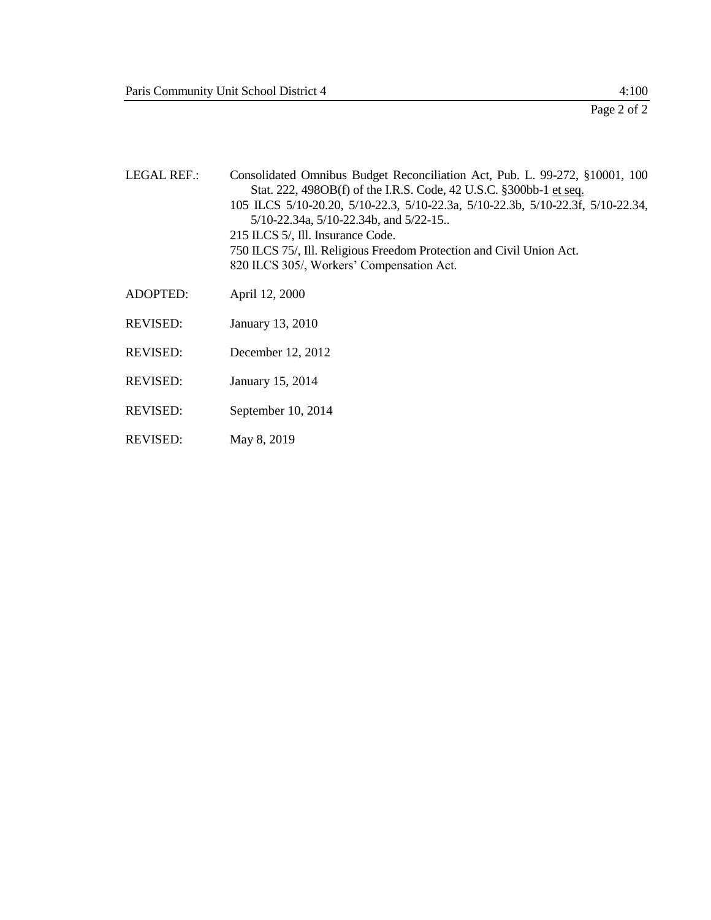Page 2 of 2

| <b>LEGAL REF.:</b> | Consolidated Omnibus Budget Reconciliation Act, Pub. L. 99-272, §10001, 100<br>Stat. 222, 498OB(f) of the I.R.S. Code, 42 U.S.C. §300bb-1 et seq.<br>105 ILCS 5/10-20.20, 5/10-22.3, 5/10-22.3a, 5/10-22.3b, 5/10-22.3f, 5/10-22.34,<br>$5/10-22.34a$ , $5/10-22.34b$ , and $5/22-15$ .<br>215 ILCS 5/, Ill. Insurance Code.<br>750 ILCS 75/, Ill. Religious Freedom Protection and Civil Union Act.<br>820 ILCS 305/, Workers' Compensation Act. |
|--------------------|---------------------------------------------------------------------------------------------------------------------------------------------------------------------------------------------------------------------------------------------------------------------------------------------------------------------------------------------------------------------------------------------------------------------------------------------------|
| <b>ADOPTED:</b>    | April 12, 2000                                                                                                                                                                                                                                                                                                                                                                                                                                    |
| <b>REVISED:</b>    | January 13, 2010                                                                                                                                                                                                                                                                                                                                                                                                                                  |
| <b>REVISED:</b>    | December 12, 2012                                                                                                                                                                                                                                                                                                                                                                                                                                 |
| <b>REVISED:</b>    | January 15, 2014                                                                                                                                                                                                                                                                                                                                                                                                                                  |
| <b>REVISED:</b>    | September 10, 2014                                                                                                                                                                                                                                                                                                                                                                                                                                |
| <b>REVISED:</b>    | May 8, 2019                                                                                                                                                                                                                                                                                                                                                                                                                                       |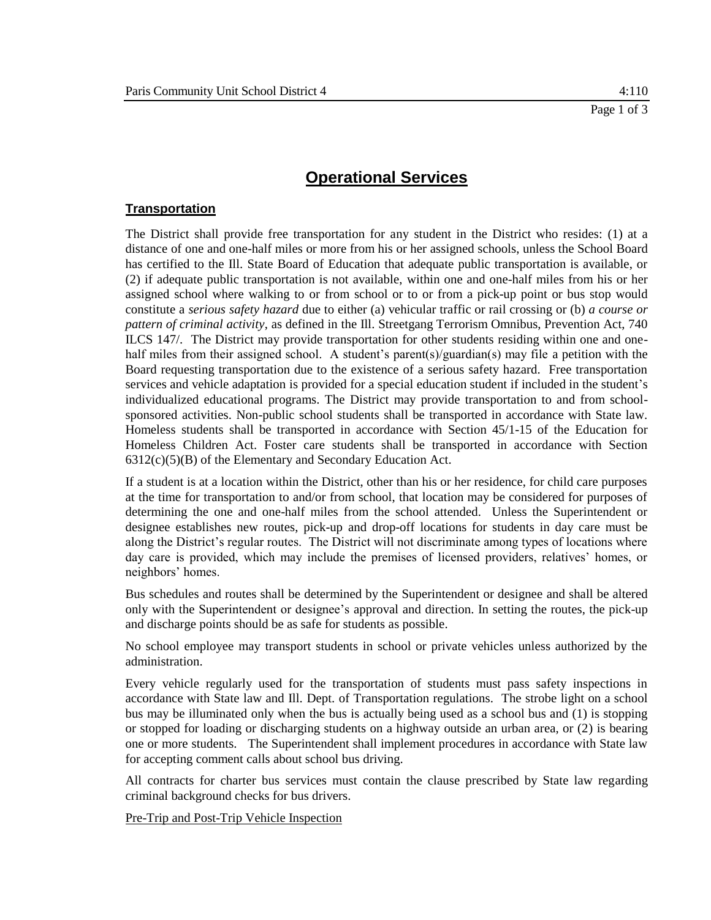## **Transportation**

The District shall provide free transportation for any student in the District who resides: (1) at a distance of one and one-half miles or more from his or her assigned schools, unless the School Board has certified to the Ill. State Board of Education that adequate public transportation is available, or (2) if adequate public transportation is not available, within one and one-half miles from his or her assigned school where walking to or from school or to or from a pick-up point or bus stop would constitute a *serious safety hazard* due to either (a) vehicular traffic or rail crossing or (b) *a course or pattern of criminal activity*, as defined in the Ill. Streetgang Terrorism Omnibus, Prevention Act, 740 ILCS 147/. The District may provide transportation for other students residing within one and onehalf miles from their assigned school. A student's parent(s)/guardian(s) may file a petition with the Board requesting transportation due to the existence of a serious safety hazard. Free transportation services and vehicle adaptation is provided for a special education student if included in the student's individualized educational programs. The District may provide transportation to and from schoolsponsored activities. Non-public school students shall be transported in accordance with State law. Homeless students shall be transported in accordance with Section 45/1-15 of the Education for Homeless Children Act. Foster care students shall be transported in accordance with Section 6312(c)(5)(B) of the Elementary and Secondary Education Act.

If a student is at a location within the District, other than his or her residence, for child care purposes at the time for transportation to and/or from school, that location may be considered for purposes of determining the one and one-half miles from the school attended. Unless the Superintendent or designee establishes new routes, pick-up and drop-off locations for students in day care must be along the District's regular routes. The District will not discriminate among types of locations where day care is provided, which may include the premises of licensed providers, relatives' homes, or neighbors' homes.

Bus schedules and routes shall be determined by the Superintendent or designee and shall be altered only with the Superintendent or designee's approval and direction. In setting the routes, the pick-up and discharge points should be as safe for students as possible.

No school employee may transport students in school or private vehicles unless authorized by the administration.

Every vehicle regularly used for the transportation of students must pass safety inspections in accordance with State law and Ill. Dept. of Transportation regulations. The strobe light on a school bus may be illuminated only when the bus is actually being used as a school bus and (1) is stopping or stopped for loading or discharging students on a highway outside an urban area, or (2) is bearing one or more students. The Superintendent shall implement procedures in accordance with State law for accepting comment calls about school bus driving.

All contracts for charter bus services must contain the clause prescribed by State law regarding criminal background checks for bus drivers.

Pre-Trip and Post-Trip Vehicle Inspection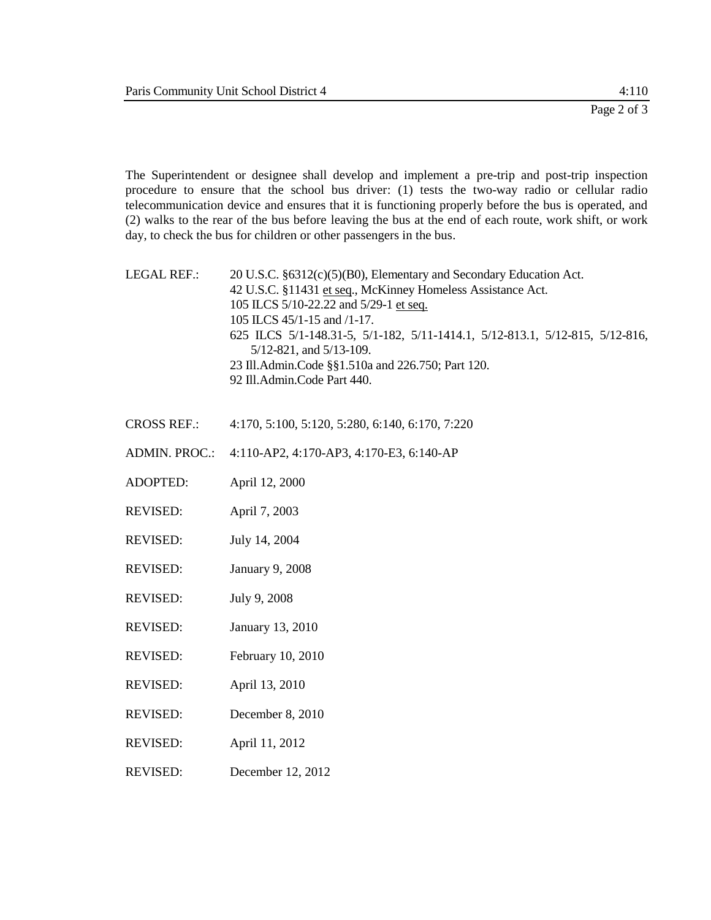The Superintendent or designee shall develop and implement a pre-trip and post-trip inspection procedure to ensure that the school bus driver: (1) tests the two-way radio or cellular radio telecommunication device and ensures that it is functioning properly before the bus is operated, and (2) walks to the rear of the bus before leaving the bus at the end of each route, work shift, or work day, to check the bus for children or other passengers in the bus.

LEGAL REF.: 20 U.S.C. §6312(c)(5)(B0), Elementary and Secondary Education Act. 42 U.S.C. §11431 et seq., McKinney Homeless Assistance Act. 105 ILCS 5/10-22.22 and 5/29-1 et seq. 105 ILCS 45/1-15 and /1-17. 625 ILCS 5/1-148.31-5, 5/1-182, 5/11-1414.1, 5/12-813.1, 5/12-815, 5/12-816, 5/12-821, and 5/13-109. 23 Ill.Admin.Code §§1.510a and 226.750; Part 120. 92 Ill.Admin.Code Part 440.

- CROSS REF.: 4:170, 5:100, 5:120, 5:280, 6:140, 6:170, 7:220
- ADMIN. PROC.: 4:110-AP2, 4:170-AP3, 4:170-E3, 6:140-AP
- ADOPTED: April 12, 2000
- REVISED: April 7, 2003
- REVISED: July 14, 2004
- REVISED: January 9, 2008
- REVISED: July 9, 2008
- REVISED: January 13, 2010
- REVISED: February 10, 2010
- REVISED: April 13, 2010
- REVISED: December 8, 2010
- REVISED: April 11, 2012
- REVISED: December 12, 2012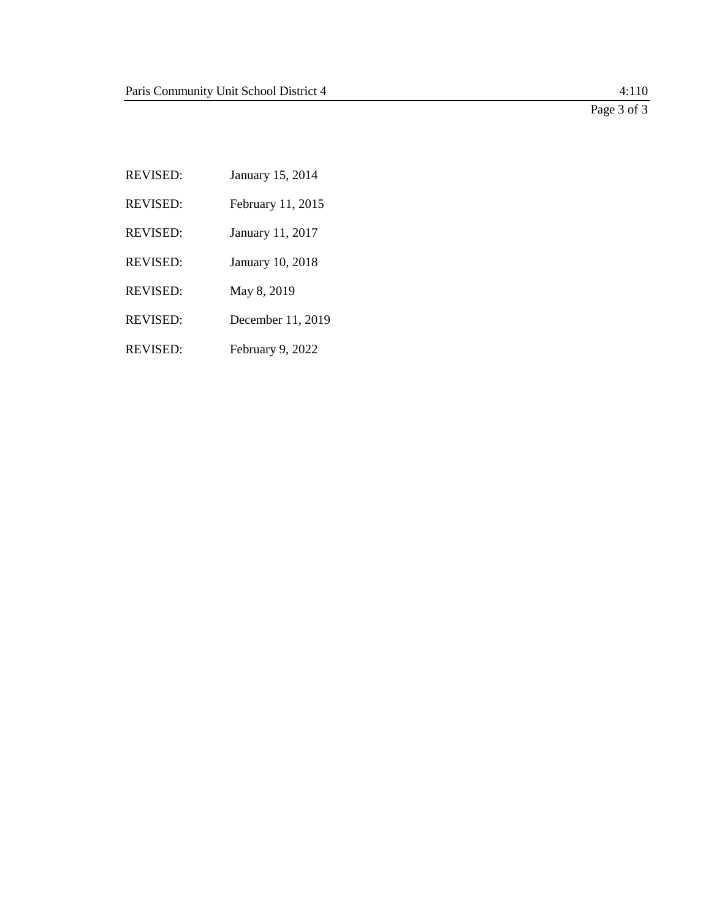Page 3 of 3

REVISED: January 15, 2014 REVISED: February 11, 2015 REVISED: January 11, 2017 REVISED: January 10, 2018 REVISED: May 8, 2019 REVISED: December 11, 2019

REVISED: February 9, 2022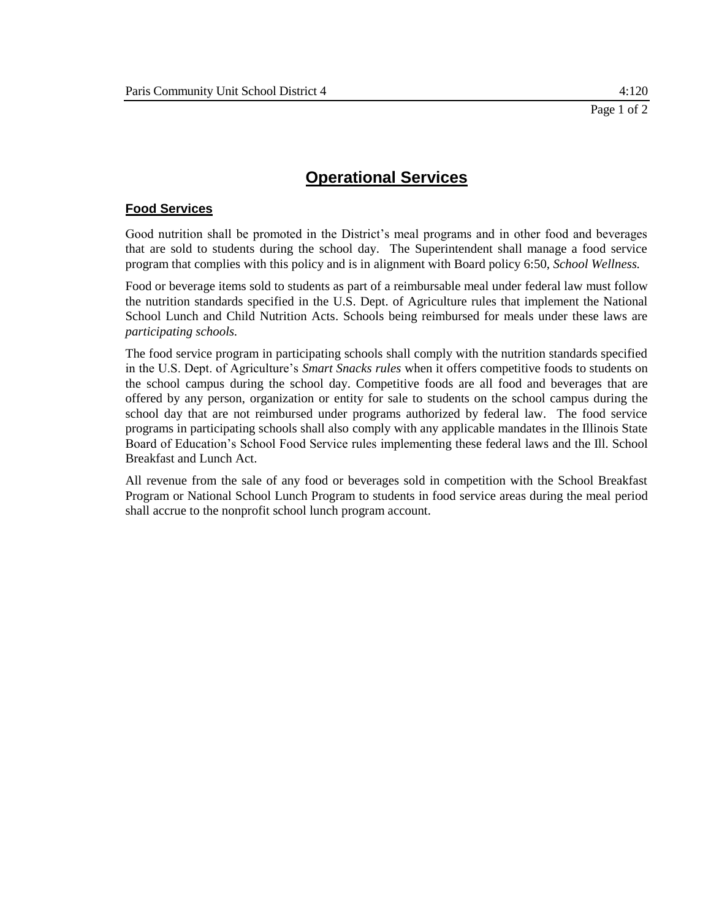# **Food Services**

Good nutrition shall be promoted in the District's meal programs and in other food and beverages that are sold to students during the school day. The Superintendent shall manage a food service program that complies with this policy and is in alignment with Board policy 6:50, *School Wellness.*

Food or beverage items sold to students as part of a reimbursable meal under federal law must follow the nutrition standards specified in the U.S. Dept. of Agriculture rules that implement the National School Lunch and Child Nutrition Acts. Schools being reimbursed for meals under these laws are *participating schools.*

The food service program in participating schools shall comply with the nutrition standards specified in the U.S. Dept. of Agriculture's *Smart Snacks rules* when it offers competitive foods to students on the school campus during the school day. Competitive foods are all food and beverages that are offered by any person, organization or entity for sale to students on the school campus during the school day that are not reimbursed under programs authorized by federal law. The food service programs in participating schools shall also comply with any applicable mandates in the Illinois State Board of Education's School Food Service rules implementing these federal laws and the Ill. School Breakfast and Lunch Act.

All revenue from the sale of any food or beverages sold in competition with the School Breakfast Program or National School Lunch Program to students in food service areas during the meal period shall accrue to the nonprofit school lunch program account.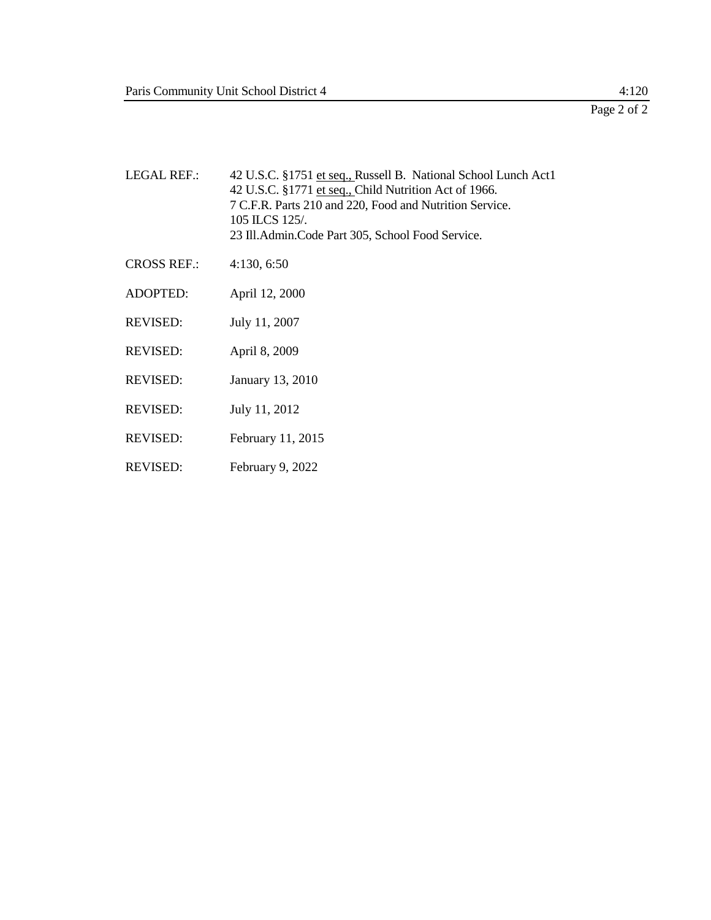| <b>LEGAL REF.:</b> | 42 U.S.C. §1751 et seq., Russell B. National School Lunch Act1<br>42 U.S.C. §1771 et seq., Child Nutrition Act of 1966.<br>7 C.F.R. Parts 210 and 220, Food and Nutrition Service.<br>105 ILCS 125/.<br>23 Ill. Admin. Code Part 305, School Food Service. |
|--------------------|------------------------------------------------------------------------------------------------------------------------------------------------------------------------------------------------------------------------------------------------------------|
| <b>CROSS REF.:</b> | 4:130, 6:50                                                                                                                                                                                                                                                |
| ADOPTED:           | April 12, 2000                                                                                                                                                                                                                                             |
| <b>REVISED:</b>    | July 11, 2007                                                                                                                                                                                                                                              |
| <b>REVISED:</b>    | April 8, 2009                                                                                                                                                                                                                                              |
| <b>REVISED:</b>    | January 13, 2010                                                                                                                                                                                                                                           |
| <b>REVISED:</b>    | July 11, 2012                                                                                                                                                                                                                                              |
| <b>REVISED:</b>    | February 11, 2015                                                                                                                                                                                                                                          |
| <b>REVISED:</b>    | February 9, 2022                                                                                                                                                                                                                                           |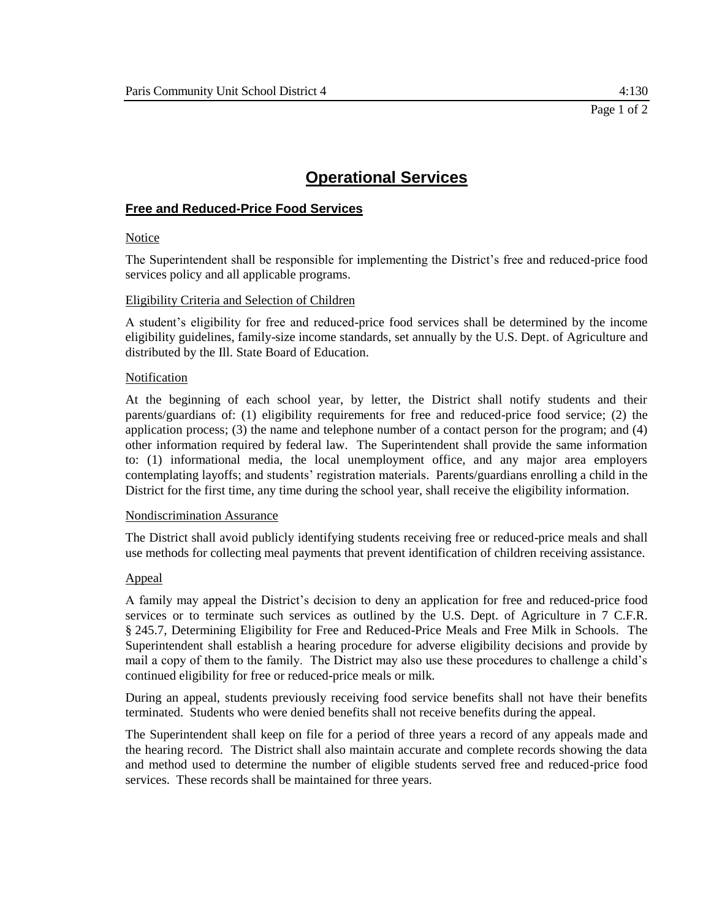# **Free and Reduced-Price Food Services**

### **Notice**

The Superintendent shall be responsible for implementing the District's free and reduced-price food services policy and all applicable programs.

### Eligibility Criteria and Selection of Children

A student's eligibility for free and reduced-price food services shall be determined by the income eligibility guidelines, family-size income standards, set annually by the U.S. Dept. of Agriculture and distributed by the Ill. State Board of Education.

### Notification

At the beginning of each school year, by letter, the District shall notify students and their parents/guardians of: (1) eligibility requirements for free and reduced-price food service; (2) the application process; (3) the name and telephone number of a contact person for the program; and (4) other information required by federal law. The Superintendent shall provide the same information to: (1) informational media, the local unemployment office, and any major area employers contemplating layoffs; and students' registration materials. Parents/guardians enrolling a child in the District for the first time, any time during the school year, shall receive the eligibility information.

### Nondiscrimination Assurance

The District shall avoid publicly identifying students receiving free or reduced-price meals and shall use methods for collecting meal payments that prevent identification of children receiving assistance.

### Appeal

A family may appeal the District's decision to deny an application for free and reduced-price food services or to terminate such services as outlined by the U.S. Dept. of Agriculture in 7 C.F.R. § 245.7, Determining Eligibility for Free and Reduced-Price Meals and Free Milk in Schools. The Superintendent shall establish a hearing procedure for adverse eligibility decisions and provide by mail a copy of them to the family. The District may also use these procedures to challenge a child's continued eligibility for free or reduced-price meals or milk.

During an appeal, students previously receiving food service benefits shall not have their benefits terminated. Students who were denied benefits shall not receive benefits during the appeal.

The Superintendent shall keep on file for a period of three years a record of any appeals made and the hearing record. The District shall also maintain accurate and complete records showing the data and method used to determine the number of eligible students served free and reduced-price food services. These records shall be maintained for three years.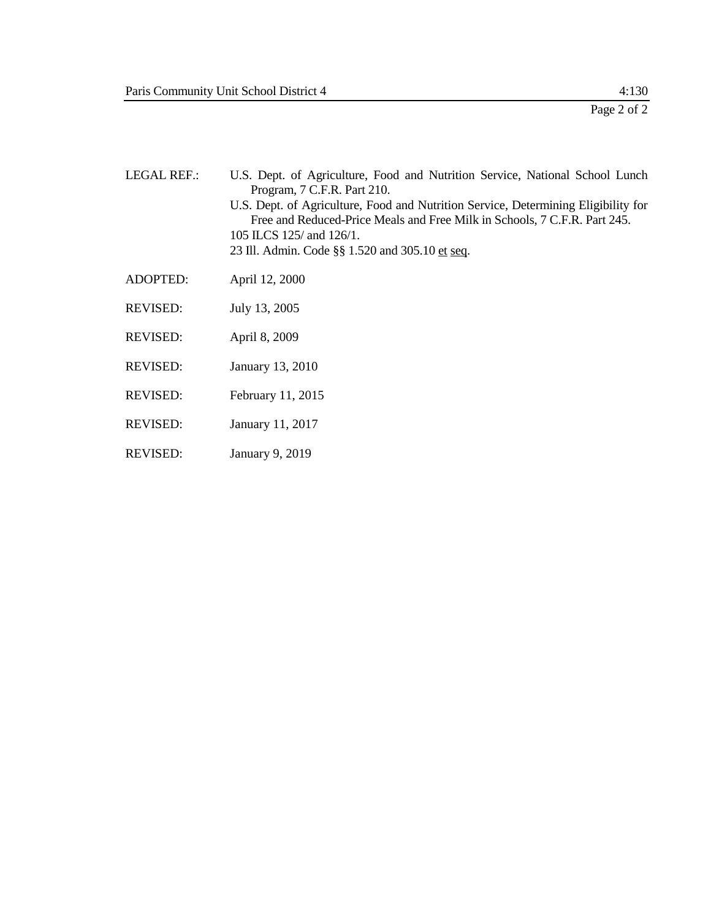| <b>LEGAL REF.:</b> | U.S. Dept. of Agriculture, Food and Nutrition Service, National School Lunch<br>Program, 7 C.F.R. Part 210.<br>U.S. Dept. of Agriculture, Food and Nutrition Service, Determining Eligibility for<br>Free and Reduced-Price Meals and Free Milk in Schools, 7 C.F.R. Part 245.<br>105 ILCS 125/ and 126/1.<br>23 Ill. Admin. Code §§ 1.520 and 305.10 et seq. |
|--------------------|---------------------------------------------------------------------------------------------------------------------------------------------------------------------------------------------------------------------------------------------------------------------------------------------------------------------------------------------------------------|
| <b>ADOPTED:</b>    | April 12, 2000                                                                                                                                                                                                                                                                                                                                                |
| <b>REVISED:</b>    | July 13, 2005                                                                                                                                                                                                                                                                                                                                                 |
| <b>REVISED:</b>    | April 8, 2009                                                                                                                                                                                                                                                                                                                                                 |
| <b>REVISED:</b>    | January 13, 2010                                                                                                                                                                                                                                                                                                                                              |
| <b>REVISED:</b>    | February 11, 2015                                                                                                                                                                                                                                                                                                                                             |
| <b>REVISED:</b>    | January 11, 2017                                                                                                                                                                                                                                                                                                                                              |
| <b>REVISED:</b>    | January 9, 2019                                                                                                                                                                                                                                                                                                                                               |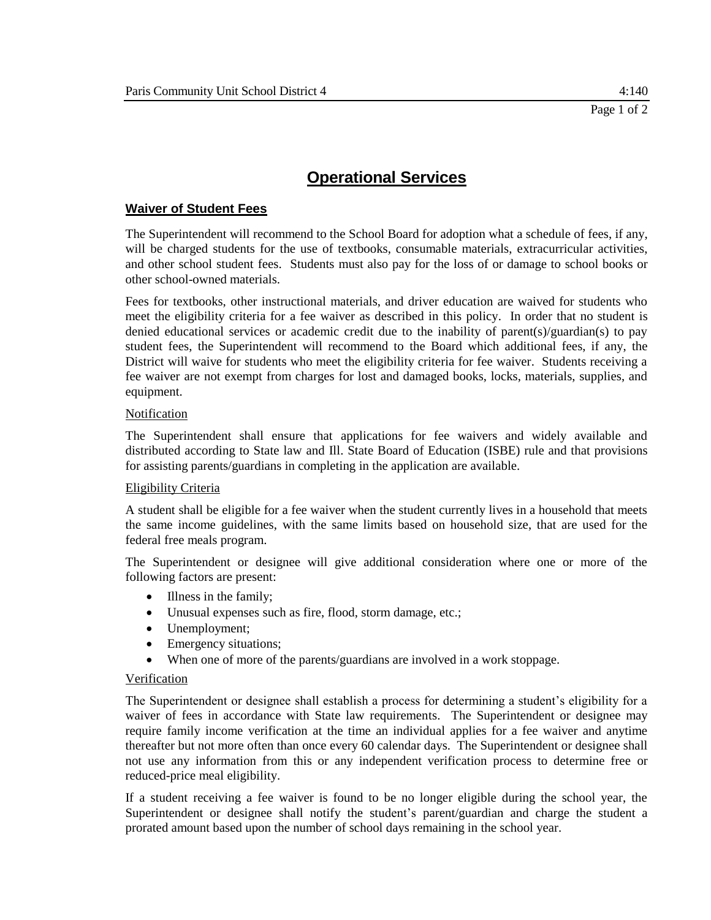# **Waiver of Student Fees**

The Superintendent will recommend to the School Board for adoption what a schedule of fees, if any, will be charged students for the use of textbooks, consumable materials, extracurricular activities, and other school student fees. Students must also pay for the loss of or damage to school books or other school-owned materials.

Fees for textbooks, other instructional materials, and driver education are waived for students who meet the eligibility criteria for a fee waiver as described in this policy. In order that no student is denied educational services or academic credit due to the inability of parent(s)/guardian(s) to pay student fees, the Superintendent will recommend to the Board which additional fees, if any, the District will waive for students who meet the eligibility criteria for fee waiver. Students receiving a fee waiver are not exempt from charges for lost and damaged books, locks, materials, supplies, and equipment.

#### Notification

The Superintendent shall ensure that applications for fee waivers and widely available and distributed according to State law and Ill. State Board of Education (ISBE) rule and that provisions for assisting parents/guardians in completing in the application are available.

### Eligibility Criteria

A student shall be eligible for a fee waiver when the student currently lives in a household that meets the same income guidelines, with the same limits based on household size, that are used for the federal free meals program.

The Superintendent or designee will give additional consideration where one or more of the following factors are present:

- Illness in the family;
- Unusual expenses such as fire, flood, storm damage, etc.;
- Unemployment;
- Emergency situations;
- When one of more of the parents/guardians are involved in a work stoppage.

#### Verification

The Superintendent or designee shall establish a process for determining a student's eligibility for a waiver of fees in accordance with State law requirements. The Superintendent or designee may require family income verification at the time an individual applies for a fee waiver and anytime thereafter but not more often than once every 60 calendar days. The Superintendent or designee shall not use any information from this or any independent verification process to determine free or reduced-price meal eligibility.

If a student receiving a fee waiver is found to be no longer eligible during the school year, the Superintendent or designee shall notify the student's parent/guardian and charge the student a prorated amount based upon the number of school days remaining in the school year.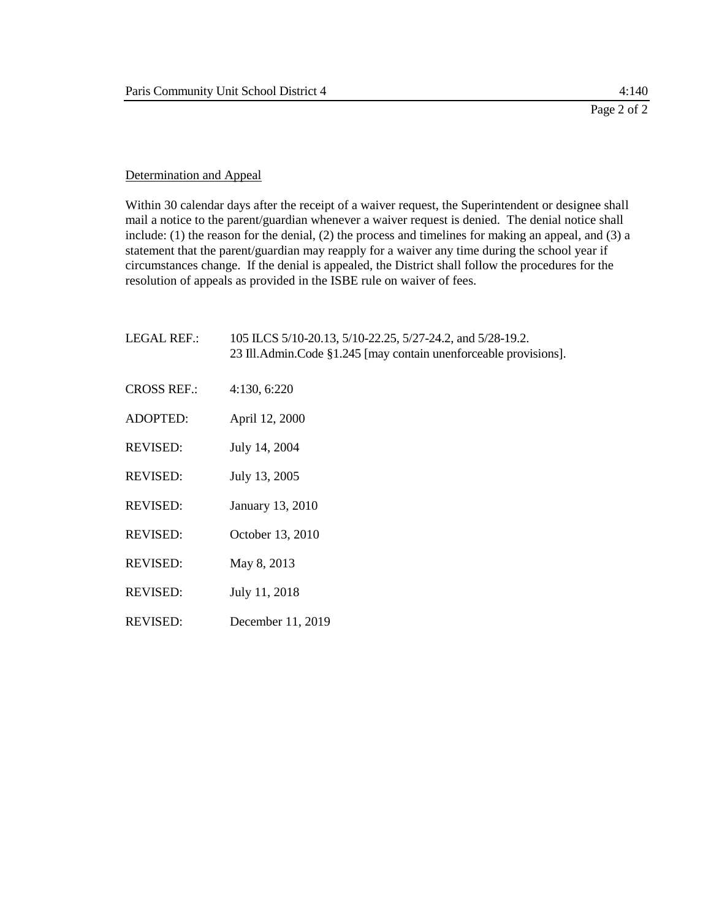### Determination and Appeal

Within 30 calendar days after the receipt of a waiver request, the Superintendent or designee shall mail a notice to the parent/guardian whenever a waiver request is denied. The denial notice shall include: (1) the reason for the denial, (2) the process and timelines for making an appeal, and (3) a statement that the parent/guardian may reapply for a waiver any time during the school year if circumstances change. If the denial is appealed, the District shall follow the procedures for the resolution of appeals as provided in the ISBE rule on waiver of fees.

| <b>LEGAL REF.:</b> | 105 ILCS 5/10-20.13, 5/10-22.25, 5/27-24.2, and 5/28-19.2.<br>23 Ill. Admin. Code §1.245 [may contain unenforceable provisions]. |
|--------------------|----------------------------------------------------------------------------------------------------------------------------------|
| <b>CROSS REF.:</b> | 4:130, 6:220                                                                                                                     |
| <b>ADOPTED:</b>    | April 12, 2000                                                                                                                   |
| <b>REVISED:</b>    | July 14, 2004                                                                                                                    |
| <b>REVISED:</b>    | July 13, 2005                                                                                                                    |
| <b>REVISED:</b>    | January 13, 2010                                                                                                                 |
| <b>REVISED:</b>    | October 13, 2010                                                                                                                 |
| <b>REVISED:</b>    | May 8, 2013                                                                                                                      |
| <b>REVISED:</b>    | July 11, 2018                                                                                                                    |
| <b>REVISED:</b>    | December 11, 2019                                                                                                                |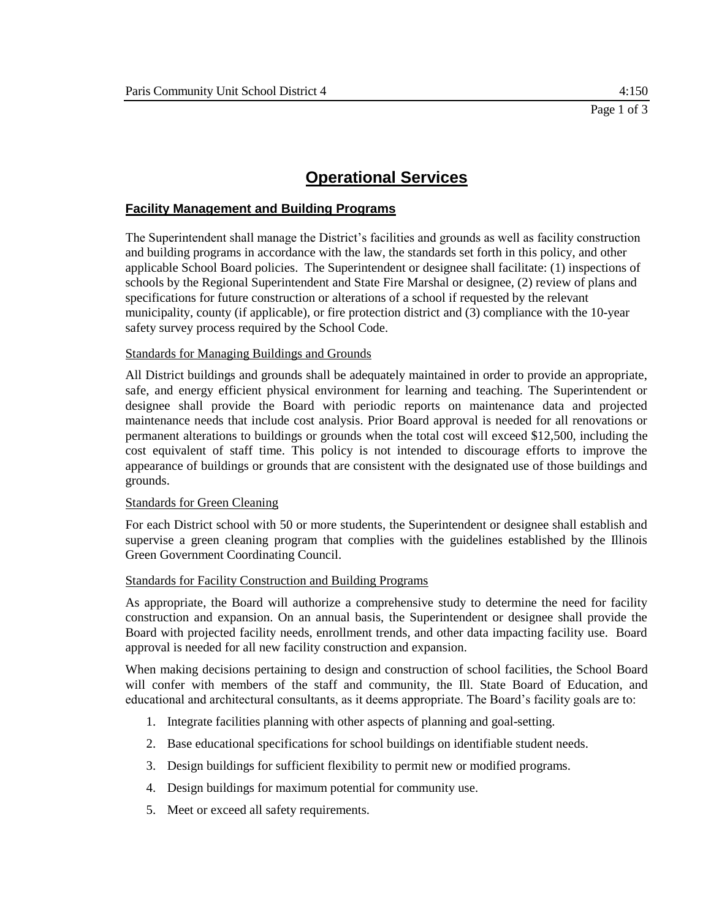## **Facility Management and Building Programs**

The Superintendent shall manage the District's facilities and grounds as well as facility construction and building programs in accordance with the law, the standards set forth in this policy, and other applicable School Board policies. The Superintendent or designee shall facilitate: (1) inspections of schools by the Regional Superintendent and State Fire Marshal or designee, (2) review of plans and specifications for future construction or alterations of a school if requested by the relevant municipality, county (if applicable), or fire protection district and (3) compliance with the 10-year safety survey process required by the School Code.

#### Standards for Managing Buildings and Grounds

All District buildings and grounds shall be adequately maintained in order to provide an appropriate, safe, and energy efficient physical environment for learning and teaching. The Superintendent or designee shall provide the Board with periodic reports on maintenance data and projected maintenance needs that include cost analysis. Prior Board approval is needed for all renovations or permanent alterations to buildings or grounds when the total cost will exceed \$12,500, including the cost equivalent of staff time. This policy is not intended to discourage efforts to improve the appearance of buildings or grounds that are consistent with the designated use of those buildings and grounds.

#### Standards for Green Cleaning

For each District school with 50 or more students, the Superintendent or designee shall establish and supervise a green cleaning program that complies with the guidelines established by the Illinois Green Government Coordinating Council.

#### Standards for Facility Construction and Building Programs

As appropriate, the Board will authorize a comprehensive study to determine the need for facility construction and expansion. On an annual basis, the Superintendent or designee shall provide the Board with projected facility needs, enrollment trends, and other data impacting facility use. Board approval is needed for all new facility construction and expansion.

When making decisions pertaining to design and construction of school facilities, the School Board will confer with members of the staff and community, the Ill. State Board of Education, and educational and architectural consultants, as it deems appropriate. The Board's facility goals are to:

- 1. Integrate facilities planning with other aspects of planning and goal-setting.
- 2. Base educational specifications for school buildings on identifiable student needs.
- 3. Design buildings for sufficient flexibility to permit new or modified programs.
- 4. Design buildings for maximum potential for community use.
- 5. Meet or exceed all safety requirements.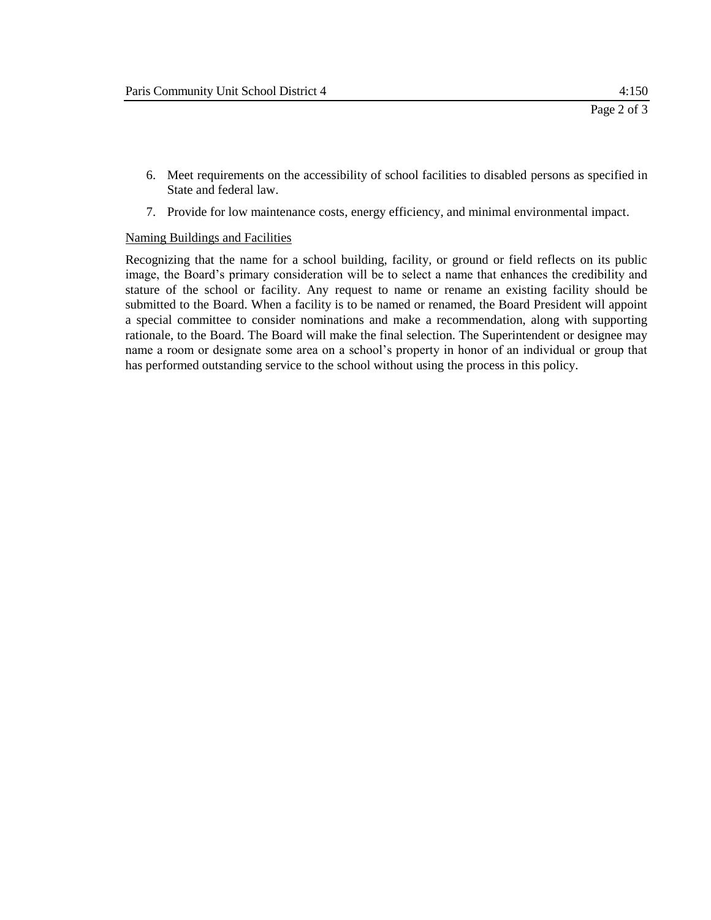- 6. Meet requirements on the accessibility of school facilities to disabled persons as specified in State and federal law.
- 7. Provide for low maintenance costs, energy efficiency, and minimal environmental impact.

#### Naming Buildings and Facilities

Recognizing that the name for a school building, facility, or ground or field reflects on its public image, the Board's primary consideration will be to select a name that enhances the credibility and stature of the school or facility. Any request to name or rename an existing facility should be submitted to the Board. When a facility is to be named or renamed, the Board President will appoint a special committee to consider nominations and make a recommendation, along with supporting rationale, to the Board. The Board will make the final selection. The Superintendent or designee may name a room or designate some area on a school's property in honor of an individual or group that has performed outstanding service to the school without using the process in this policy.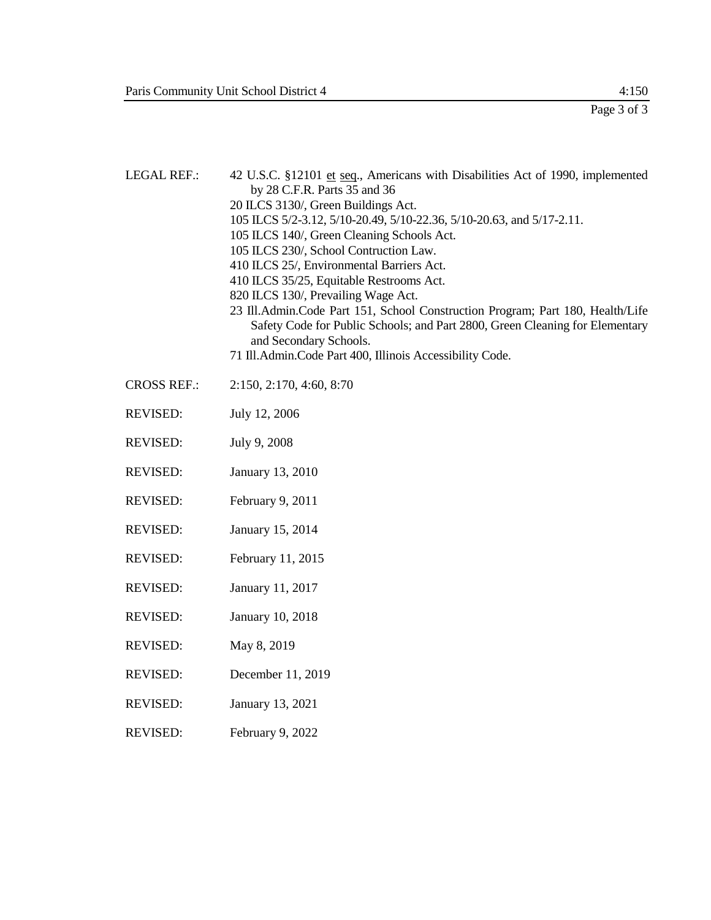Page 3 of 3

| <b>LEGAL REF.:</b> | 42 U.S.C. §12101 et seq., Americans with Disabilities Act of 1990, implemented<br>by 28 C.F.R. Parts 35 and 36<br>20 ILCS 3130/, Green Buildings Act.<br>105 ILCS 5/2-3.12, 5/10-20.49, 5/10-22.36, 5/10-20.63, and 5/17-2.11.<br>105 ILCS 140/, Green Cleaning Schools Act.<br>105 ILCS 230/, School Contruction Law.<br>410 ILCS 25/, Environmental Barriers Act.<br>410 ILCS 35/25, Equitable Restrooms Act.<br>820 ILCS 130/, Prevailing Wage Act.<br>23 Ill.Admin.Code Part 151, School Construction Program; Part 180, Health/Life<br>Safety Code for Public Schools; and Part 2800, Green Cleaning for Elementary<br>and Secondary Schools.<br>71 Ill.Admin.Code Part 400, Illinois Accessibility Code. |
|--------------------|----------------------------------------------------------------------------------------------------------------------------------------------------------------------------------------------------------------------------------------------------------------------------------------------------------------------------------------------------------------------------------------------------------------------------------------------------------------------------------------------------------------------------------------------------------------------------------------------------------------------------------------------------------------------------------------------------------------|
| <b>CROSS REF.:</b> | 2:150, 2:170, 4:60, 8:70                                                                                                                                                                                                                                                                                                                                                                                                                                                                                                                                                                                                                                                                                       |
| <b>REVISED:</b>    | July 12, 2006                                                                                                                                                                                                                                                                                                                                                                                                                                                                                                                                                                                                                                                                                                  |
| <b>REVISED:</b>    | July 9, 2008                                                                                                                                                                                                                                                                                                                                                                                                                                                                                                                                                                                                                                                                                                   |
| <b>REVISED:</b>    | January 13, 2010                                                                                                                                                                                                                                                                                                                                                                                                                                                                                                                                                                                                                                                                                               |
| <b>REVISED:</b>    | February 9, 2011                                                                                                                                                                                                                                                                                                                                                                                                                                                                                                                                                                                                                                                                                               |
| <b>REVISED:</b>    | January 15, 2014                                                                                                                                                                                                                                                                                                                                                                                                                                                                                                                                                                                                                                                                                               |
| <b>REVISED:</b>    | February 11, 2015                                                                                                                                                                                                                                                                                                                                                                                                                                                                                                                                                                                                                                                                                              |
| <b>REVISED:</b>    | January 11, 2017                                                                                                                                                                                                                                                                                                                                                                                                                                                                                                                                                                                                                                                                                               |
| <b>REVISED:</b>    | January 10, 2018                                                                                                                                                                                                                                                                                                                                                                                                                                                                                                                                                                                                                                                                                               |
| <b>REVISED:</b>    | May 8, 2019                                                                                                                                                                                                                                                                                                                                                                                                                                                                                                                                                                                                                                                                                                    |
| <b>REVISED:</b>    | December 11, 2019                                                                                                                                                                                                                                                                                                                                                                                                                                                                                                                                                                                                                                                                                              |
| <b>REVISED:</b>    | January 13, 2021                                                                                                                                                                                                                                                                                                                                                                                                                                                                                                                                                                                                                                                                                               |
| <b>REVISED:</b>    | February 9, 2022                                                                                                                                                                                                                                                                                                                                                                                                                                                                                                                                                                                                                                                                                               |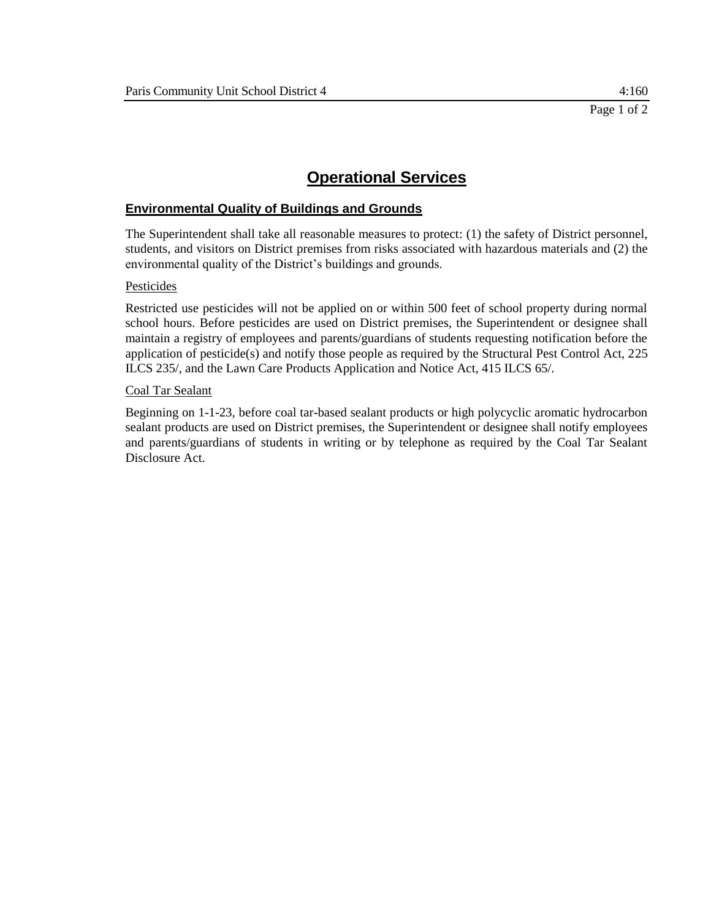## **Environmental Quality of Buildings and Grounds**

The Superintendent shall take all reasonable measures to protect: (1) the safety of District personnel, students, and visitors on District premises from risks associated with hazardous materials and (2) the environmental quality of the District's buildings and grounds.

#### Pesticides

Restricted use pesticides will not be applied on or within 500 feet of school property during normal school hours. Before pesticides are used on District premises, the Superintendent or designee shall maintain a registry of employees and parents/guardians of students requesting notification before the application of pesticide(s) and notify those people as required by the Structural Pest Control Act, 225 ILCS 235/, and the Lawn Care Products Application and Notice Act, 415 ILCS 65/.

#### Coal Tar Sealant

Beginning on 1-1-23, before coal tar-based sealant products or high polycyclic aromatic hydrocarbon sealant products are used on District premises, the Superintendent or designee shall notify employees and parents/guardians of students in writing or by telephone as required by the Coal Tar Sealant Disclosure Act.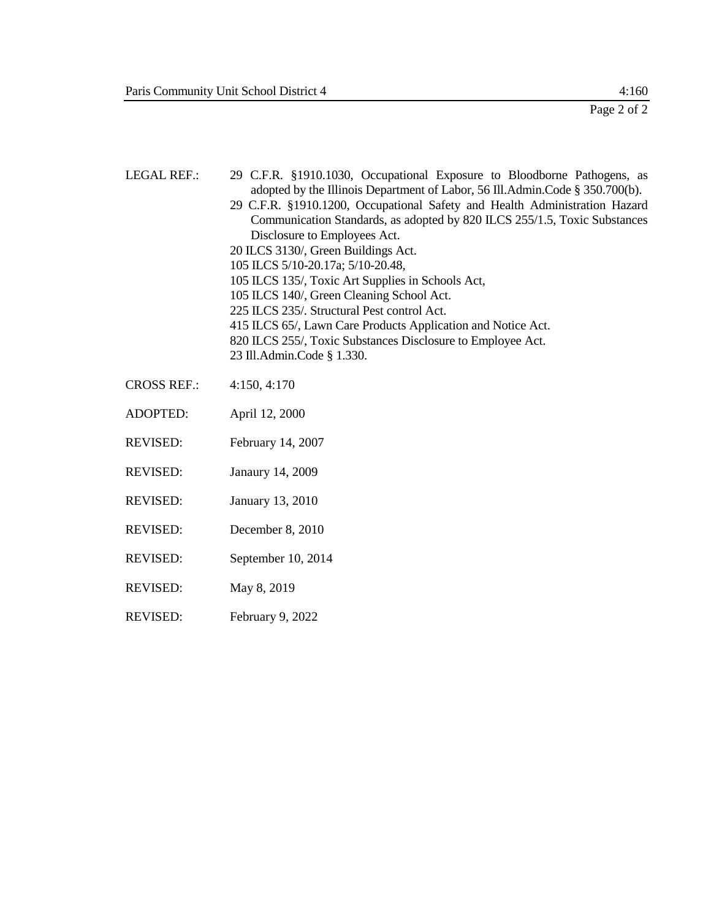| <b>LEGAL REF.:</b> | 29 C.F.R. §1910.1030, Occupational Exposure to Bloodborne Pathogens, as<br>adopted by the Illinois Department of Labor, 56 Ill.Admin.Code § 350.700(b).<br>29 C.F.R. §1910.1200, Occupational Safety and Health Administration Hazard<br>Communication Standards, as adopted by 820 ILCS 255/1.5, Toxic Substances<br>Disclosure to Employees Act.<br>20 ILCS 3130/, Green Buildings Act.<br>105 ILCS 5/10-20.17a; 5/10-20.48,<br>105 ILCS 135/, Toxic Art Supplies in Schools Act,<br>105 ILCS 140/, Green Cleaning School Act.<br>225 ILCS 235/. Structural Pest control Act.<br>415 ILCS 65/, Lawn Care Products Application and Notice Act.<br>820 ILCS 255/, Toxic Substances Disclosure to Employee Act.<br>23 Ill.Admin.Code § 1.330. |
|--------------------|----------------------------------------------------------------------------------------------------------------------------------------------------------------------------------------------------------------------------------------------------------------------------------------------------------------------------------------------------------------------------------------------------------------------------------------------------------------------------------------------------------------------------------------------------------------------------------------------------------------------------------------------------------------------------------------------------------------------------------------------|
| <b>CROSS REF.:</b> | 4:150, 4:170                                                                                                                                                                                                                                                                                                                                                                                                                                                                                                                                                                                                                                                                                                                                 |
| <b>ADOPTED:</b>    | April 12, 2000                                                                                                                                                                                                                                                                                                                                                                                                                                                                                                                                                                                                                                                                                                                               |
| <b>REVISED:</b>    | February 14, 2007                                                                                                                                                                                                                                                                                                                                                                                                                                                                                                                                                                                                                                                                                                                            |
| <b>REVISED:</b>    | Janaury 14, 2009                                                                                                                                                                                                                                                                                                                                                                                                                                                                                                                                                                                                                                                                                                                             |
| <b>REVISED:</b>    | January 13, 2010                                                                                                                                                                                                                                                                                                                                                                                                                                                                                                                                                                                                                                                                                                                             |
| <b>REVISED:</b>    | December 8, 2010                                                                                                                                                                                                                                                                                                                                                                                                                                                                                                                                                                                                                                                                                                                             |
| <b>REVISED:</b>    | September 10, 2014                                                                                                                                                                                                                                                                                                                                                                                                                                                                                                                                                                                                                                                                                                                           |

- REVISED: May 8, 2019
- REVISED: February 9, 2022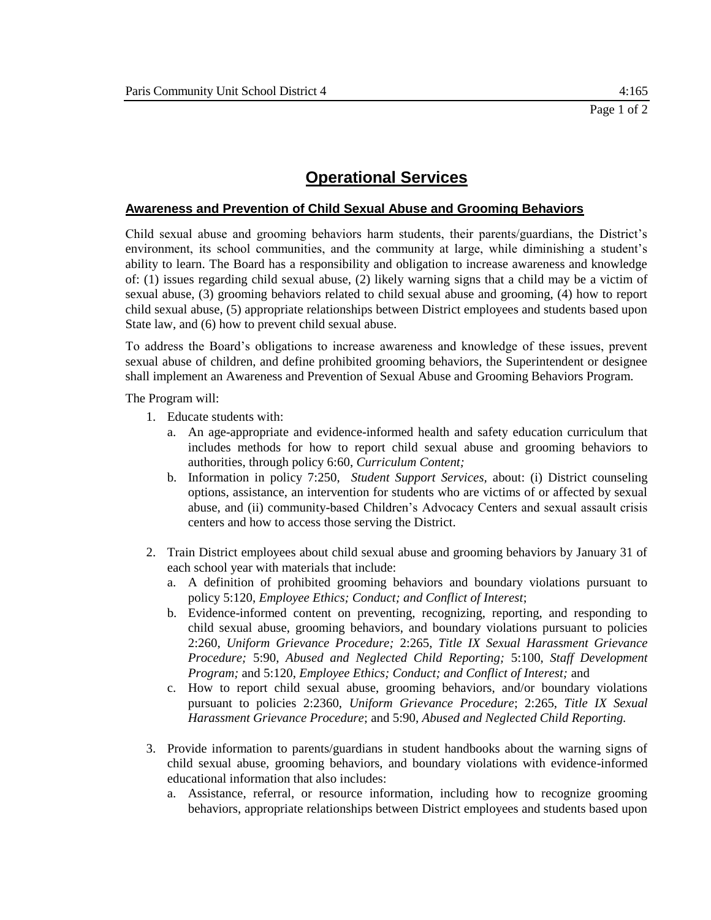### **Awareness and Prevention of Child Sexual Abuse and Grooming Behaviors**

Child sexual abuse and grooming behaviors harm students, their parents/guardians, the District's environment, its school communities, and the community at large, while diminishing a student's ability to learn. The Board has a responsibility and obligation to increase awareness and knowledge of: (1) issues regarding child sexual abuse, (2) likely warning signs that a child may be a victim of sexual abuse, (3) grooming behaviors related to child sexual abuse and grooming, (4) how to report child sexual abuse, (5) appropriate relationships between District employees and students based upon State law, and (6) how to prevent child sexual abuse.

To address the Board's obligations to increase awareness and knowledge of these issues, prevent sexual abuse of children, and define prohibited grooming behaviors, the Superintendent or designee shall implement an Awareness and Prevention of Sexual Abuse and Grooming Behaviors Program.

The Program will:

- 1. Educate students with:
	- a. An age-appropriate and evidence-informed health and safety education curriculum that includes methods for how to report child sexual abuse and grooming behaviors to authorities, through policy 6:60, *Curriculum Content;*
	- b. Information in policy 7:250, *Student Support Services,* about: (i) District counseling options, assistance, an intervention for students who are victims of or affected by sexual abuse, and (ii) community-based Children's Advocacy Centers and sexual assault crisis centers and how to access those serving the District.
- 2. Train District employees about child sexual abuse and grooming behaviors by January 31 of each school year with materials that include:
	- a. A definition of prohibited grooming behaviors and boundary violations pursuant to policy 5:120, *Employee Ethics; Conduct; and Conflict of Interest*;
	- b. Evidence-informed content on preventing, recognizing, reporting, and responding to child sexual abuse, grooming behaviors, and boundary violations pursuant to policies 2:260, *Uniform Grievance Procedure;* 2:265, *Title IX Sexual Harassment Grievance Procedure;* 5:90, *Abused and Neglected Child Reporting;* 5:100, *Staff Development Program;* and 5:120, *Employee Ethics; Conduct; and Conflict of Interest;* and
	- c. How to report child sexual abuse, grooming behaviors, and/or boundary violations pursuant to policies 2:2360, *Uniform Grievance Procedure*; 2:265, *Title IX Sexual Harassment Grievance Procedure*; and 5:90, *Abused and Neglected Child Reporting.*
- 3. Provide information to parents/guardians in student handbooks about the warning signs of child sexual abuse, grooming behaviors, and boundary violations with evidence-informed educational information that also includes:
	- a. Assistance, referral, or resource information, including how to recognize grooming behaviors, appropriate relationships between District employees and students based upon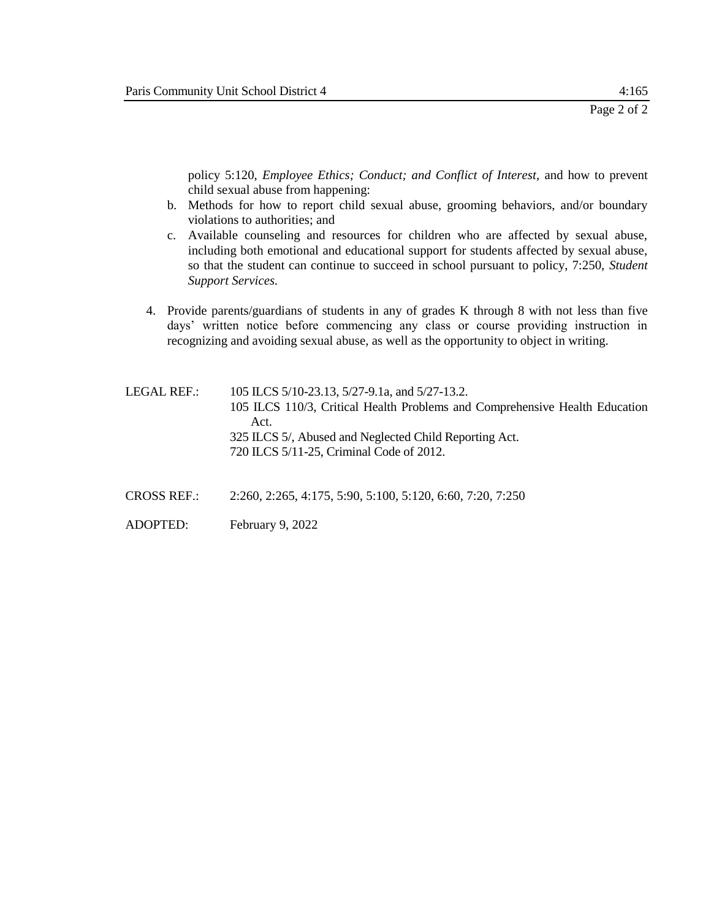policy 5:120, *Employee Ethics; Conduct; and Conflict of Interest,* and how to prevent child sexual abuse from happening:

- b. Methods for how to report child sexual abuse, grooming behaviors, and/or boundary violations to authorities; and
- c. Available counseling and resources for children who are affected by sexual abuse, including both emotional and educational support for students affected by sexual abuse, so that the student can continue to succeed in school pursuant to policy, 7:250, *Student Support Services.*
- 4. Provide parents/guardians of students in any of grades K through 8 with not less than five days' written notice before commencing any class or course providing instruction in recognizing and avoiding sexual abuse, as well as the opportunity to object in writing.

LEGAL REF.: 105 ILCS 5/10-23.13, 5/27-9.1a, and 5/27-13.2. 105 ILCS 110/3, Critical Health Problems and Comprehensive Health Education Act. 325 ILCS 5/, Abused and Neglected Child Reporting Act. 720 ILCS 5/11-25, Criminal Code of 2012.

- CROSS REF.: 2:260, 2:265, 4:175, 5:90, 5:100, 5:120, 6:60, 7:20, 7:250
- ADOPTED: February 9, 2022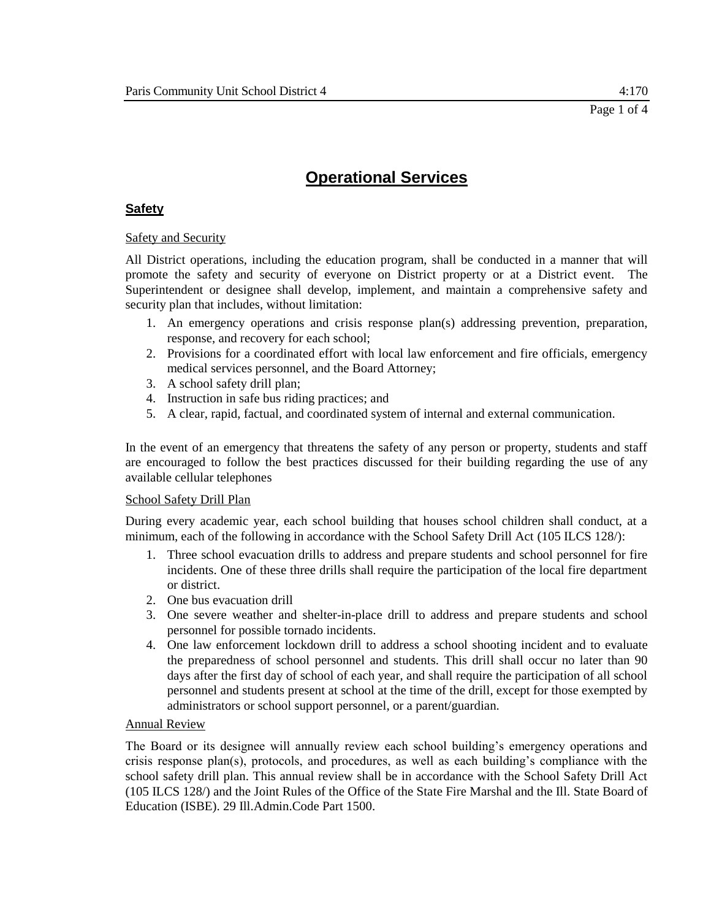# **Safety**

## Safety and Security

All District operations, including the education program, shall be conducted in a manner that will promote the safety and security of everyone on District property or at a District event. The Superintendent or designee shall develop, implement, and maintain a comprehensive safety and security plan that includes, without limitation:

- 1. An emergency operations and crisis response plan(s) addressing prevention, preparation, response, and recovery for each school;
- 2. Provisions for a coordinated effort with local law enforcement and fire officials, emergency medical services personnel, and the Board Attorney;
- 3. A school safety drill plan;
- 4. Instruction in safe bus riding practices; and
- 5. A clear, rapid, factual, and coordinated system of internal and external communication.

In the event of an emergency that threatens the safety of any person or property, students and staff are encouraged to follow the best practices discussed for their building regarding the use of any available cellular telephones

### School Safety Drill Plan

During every academic year, each school building that houses school children shall conduct, at a minimum, each of the following in accordance with the School Safety Drill Act (105 ILCS 128/):

- 1. Three school evacuation drills to address and prepare students and school personnel for fire incidents. One of these three drills shall require the participation of the local fire department or district.
- 2. One bus evacuation drill
- 3. One severe weather and shelter-in-place drill to address and prepare students and school personnel for possible tornado incidents.
- 4. One law enforcement lockdown drill to address a school shooting incident and to evaluate the preparedness of school personnel and students. This drill shall occur no later than 90 days after the first day of school of each year, and shall require the participation of all school personnel and students present at school at the time of the drill, except for those exempted by administrators or school support personnel, or a parent/guardian.

### Annual Review

The Board or its designee will annually review each school building's emergency operations and crisis response plan(s), protocols, and procedures, as well as each building's compliance with the school safety drill plan. This annual review shall be in accordance with the School Safety Drill Act (105 ILCS 128/) and the Joint Rules of the Office of the State Fire Marshal and the Ill. State Board of Education (ISBE). 29 Ill.Admin.Code Part 1500.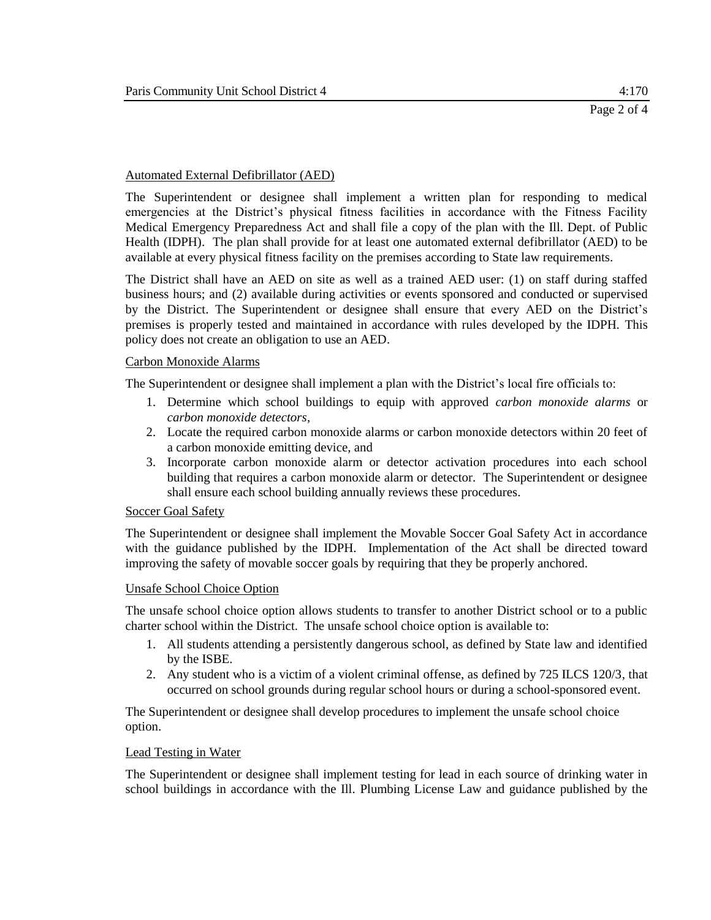#### Automated External Defibrillator (AED)

The Superintendent or designee shall implement a written plan for responding to medical emergencies at the District's physical fitness facilities in accordance with the Fitness Facility Medical Emergency Preparedness Act and shall file a copy of the plan with the Ill. Dept. of Public Health (IDPH). The plan shall provide for at least one automated external defibrillator (AED) to be available at every physical fitness facility on the premises according to State law requirements.

The District shall have an AED on site as well as a trained AED user: (1) on staff during staffed business hours; and (2) available during activities or events sponsored and conducted or supervised by the District. The Superintendent or designee shall ensure that every AED on the District's premises is properly tested and maintained in accordance with rules developed by the IDPH. This policy does not create an obligation to use an AED.

#### Carbon Monoxide Alarms

The Superintendent or designee shall implement a plan with the District's local fire officials to:

- 1. Determine which school buildings to equip with approved *carbon monoxide alarms* or *carbon monoxide detectors*,
- 2. Locate the required carbon monoxide alarms or carbon monoxide detectors within 20 feet of a carbon monoxide emitting device, and
- 3. Incorporate carbon monoxide alarm or detector activation procedures into each school building that requires a carbon monoxide alarm or detector. The Superintendent or designee shall ensure each school building annually reviews these procedures.

#### Soccer Goal Safety

The Superintendent or designee shall implement the Movable Soccer Goal Safety Act in accordance with the guidance published by the IDPH. Implementation of the Act shall be directed toward improving the safety of movable soccer goals by requiring that they be properly anchored.

#### Unsafe School Choice Option

The unsafe school choice option allows students to transfer to another District school or to a public charter school within the District. The unsafe school choice option is available to:

- 1. All students attending a persistently dangerous school, as defined by State law and identified by the ISBE.
- 2. Any student who is a victim of a violent criminal offense, as defined by 725 ILCS 120/3, that occurred on school grounds during regular school hours or during a school-sponsored event.

The Superintendent or designee shall develop procedures to implement the unsafe school choice option.

#### Lead Testing in Water

The Superintendent or designee shall implement testing for lead in each source of drinking water in school buildings in accordance with the Ill. Plumbing License Law and guidance published by the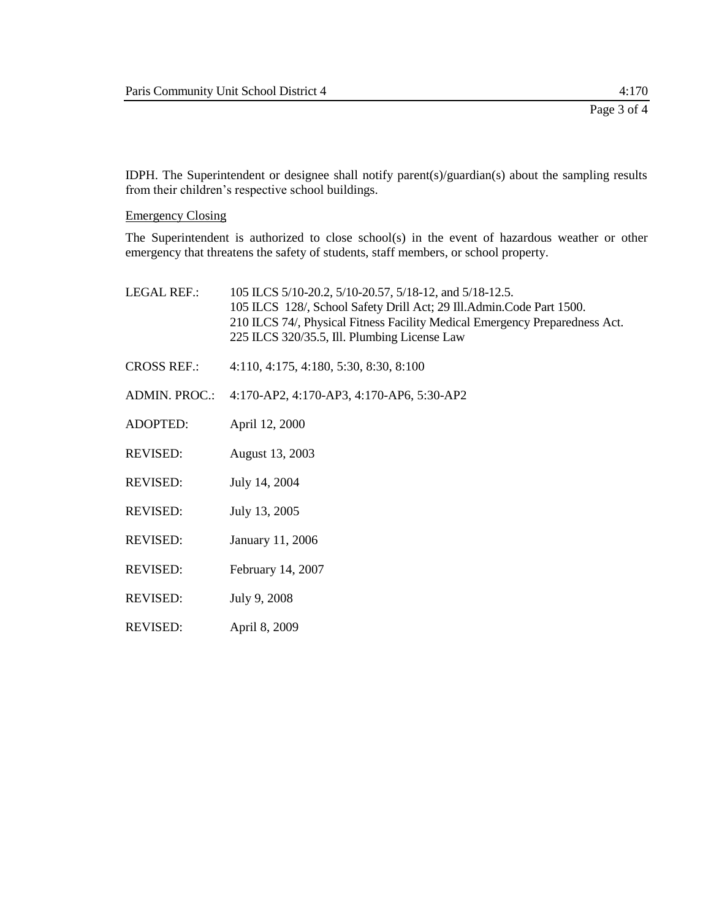IDPH. The Superintendent or designee shall notify parent(s)/guardian(s) about the sampling results from their children's respective school buildings.

Emergency Closing

The Superintendent is authorized to close school(s) in the event of hazardous weather or other emergency that threatens the safety of students, staff members, or school property.

| <b>LEGAL REF.:</b>   | 105 ILCS 5/10-20.2, 5/10-20.57, 5/18-12, and 5/18-12.5.<br>105 ILCS 128/, School Safety Drill Act; 29 Ill.Admin.Code Part 1500.<br>210 ILCS 74/, Physical Fitness Facility Medical Emergency Preparedness Act.<br>225 ILCS 320/35.5, Ill. Plumbing License Law |
|----------------------|----------------------------------------------------------------------------------------------------------------------------------------------------------------------------------------------------------------------------------------------------------------|
| <b>CROSS REF.:</b>   | 4:110, 4:175, 4:180, 5:30, 8:30, 8:100                                                                                                                                                                                                                         |
| <b>ADMIN. PROC.:</b> | 4:170-AP2, 4:170-AP3, 4:170-AP6, 5:30-AP2                                                                                                                                                                                                                      |
| <b>ADOPTED:</b>      | April 12, 2000                                                                                                                                                                                                                                                 |
| <b>REVISED:</b>      | August 13, 2003                                                                                                                                                                                                                                                |
| <b>REVISED:</b>      | July 14, 2004                                                                                                                                                                                                                                                  |
| REVISED:             | July 13, 2005                                                                                                                                                                                                                                                  |
| <b>REVISED:</b>      | January 11, 2006                                                                                                                                                                                                                                               |
| <b>REVISED:</b>      | February 14, 2007                                                                                                                                                                                                                                              |
| REVISED:             | July 9, 2008                                                                                                                                                                                                                                                   |
|                      |                                                                                                                                                                                                                                                                |

REVISED: April 8, 2009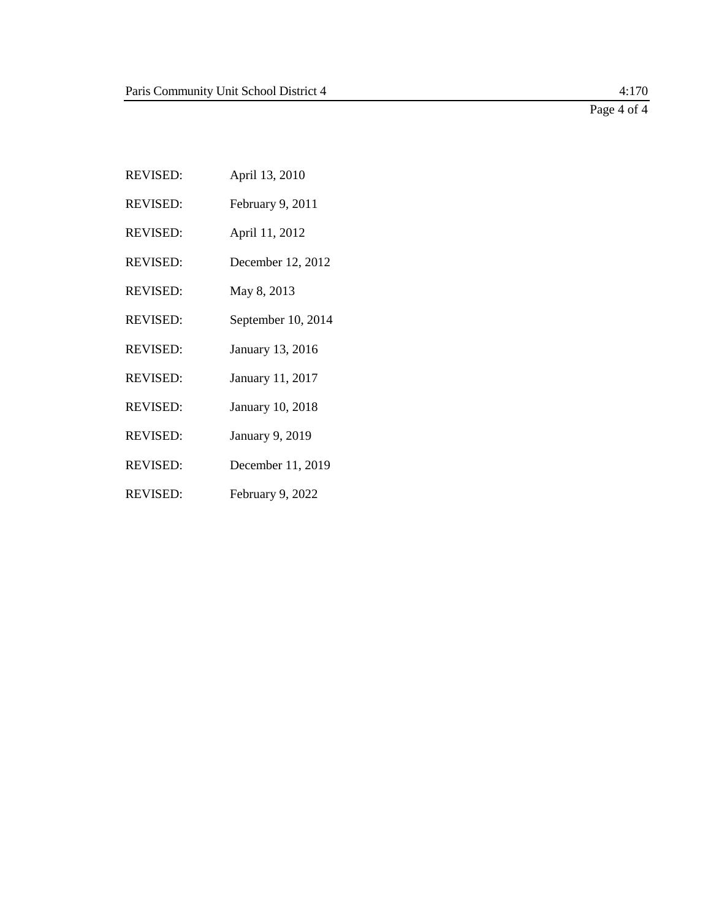Page 4 of 4

REVISED: April 13, 2010 REVISED: February 9, 2011 REVISED: April 11, 2012 REVISED: December 12, 2012 REVISED: May 8, 2013 REVISED: September 10, 2014 REVISED: January 13, 2016 REVISED: January 11, 2017 REVISED: January 10, 2018 REVISED: January 9, 2019 REVISED: December 11, 2019 REVISED: February 9, 2022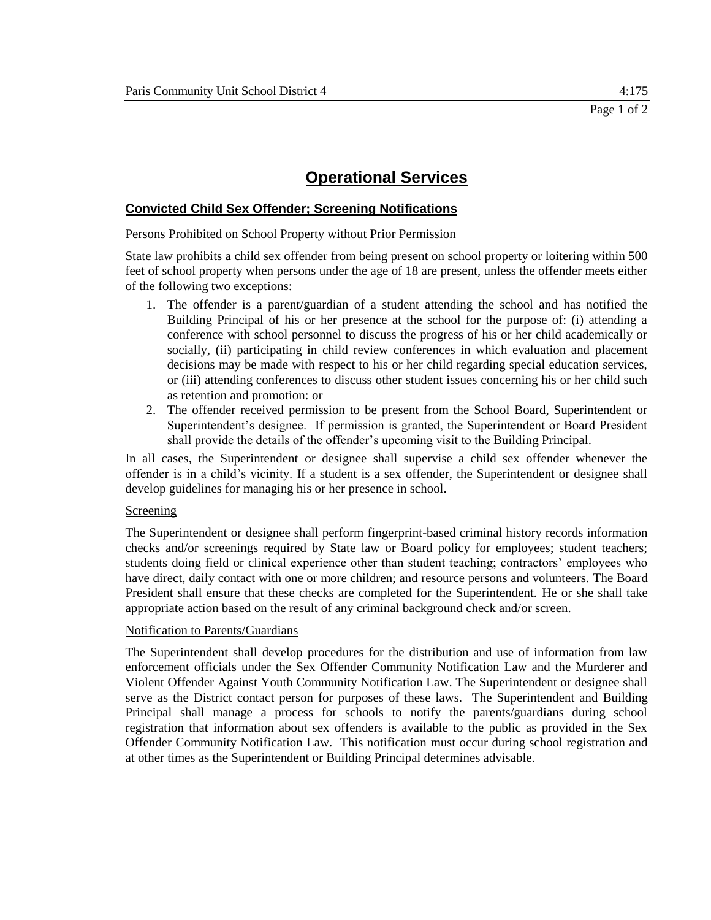# **Convicted Child Sex Offender; Screening Notifications**

### Persons Prohibited on School Property without Prior Permission

State law prohibits a child sex offender from being present on school property or loitering within 500 feet of school property when persons under the age of 18 are present, unless the offender meets either of the following two exceptions:

- 1. The offender is a parent/guardian of a student attending the school and has notified the Building Principal of his or her presence at the school for the purpose of: (i) attending a conference with school personnel to discuss the progress of his or her child academically or socially, (ii) participating in child review conferences in which evaluation and placement decisions may be made with respect to his or her child regarding special education services, or (iii) attending conferences to discuss other student issues concerning his or her child such as retention and promotion: or
- 2. The offender received permission to be present from the School Board, Superintendent or Superintendent's designee. If permission is granted, the Superintendent or Board President shall provide the details of the offender's upcoming visit to the Building Principal.

In all cases, the Superintendent or designee shall supervise a child sex offender whenever the offender is in a child's vicinity. If a student is a sex offender, the Superintendent or designee shall develop guidelines for managing his or her presence in school.

### Screening

The Superintendent or designee shall perform fingerprint-based criminal history records information checks and/or screenings required by State law or Board policy for employees; student teachers; students doing field or clinical experience other than student teaching; contractors' employees who have direct, daily contact with one or more children; and resource persons and volunteers. The Board President shall ensure that these checks are completed for the Superintendent. He or she shall take appropriate action based on the result of any criminal background check and/or screen.

### Notification to Parents/Guardians

The Superintendent shall develop procedures for the distribution and use of information from law enforcement officials under the Sex Offender Community Notification Law and the Murderer and Violent Offender Against Youth Community Notification Law. The Superintendent or designee shall serve as the District contact person for purposes of these laws. The Superintendent and Building Principal shall manage a process for schools to notify the parents/guardians during school registration that information about sex offenders is available to the public as provided in the Sex Offender Community Notification Law. This notification must occur during school registration and at other times as the Superintendent or Building Principal determines advisable.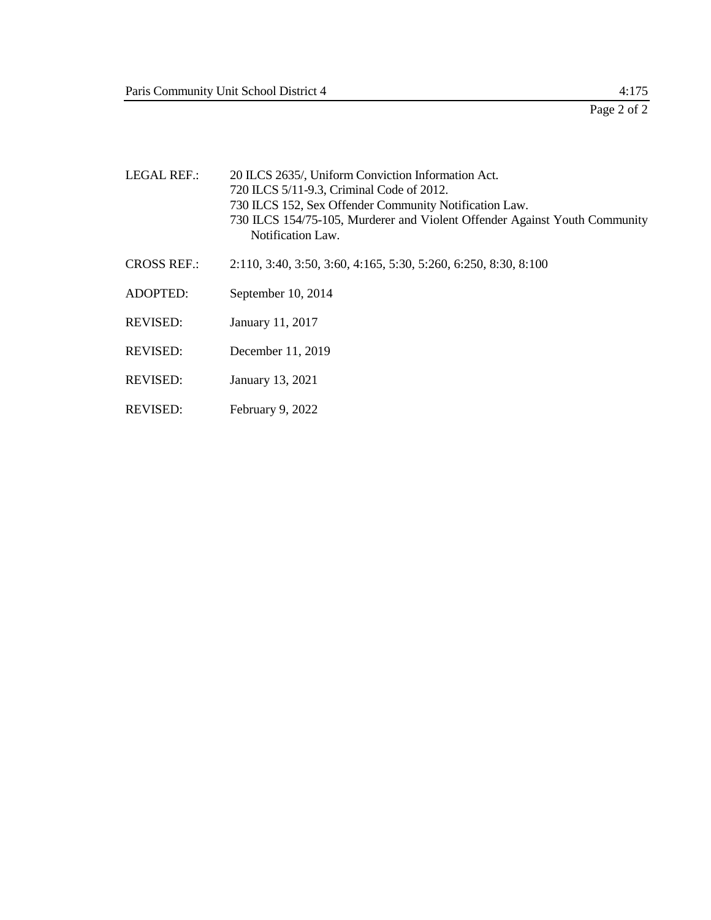| LEGAL REF.:        | 20 ILCS 2635/, Uniform Conviction Information Act.<br>720 ILCS 5/11-9.3, Criminal Code of 2012.<br>730 ILCS 152, Sex Offender Community Notification Law.<br>730 ILCS 154/75-105, Murderer and Violent Offender Against Youth Community<br>Notification Law. |
|--------------------|--------------------------------------------------------------------------------------------------------------------------------------------------------------------------------------------------------------------------------------------------------------|
| <b>CROSS REF.:</b> | 2:110, 3:40, 3:50, 3:60, 4:165, 5:30, 5:260, 6:250, 8:30, 8:100                                                                                                                                                                                              |
| <b>ADOPTED:</b>    | September 10, 2014                                                                                                                                                                                                                                           |
| REVISED:           | January 11, 2017                                                                                                                                                                                                                                             |
| <b>REVISED:</b>    | December 11, 2019                                                                                                                                                                                                                                            |
| <b>REVISED:</b>    | January 13, 2021                                                                                                                                                                                                                                             |
| <b>REVISED:</b>    | February 9, 2022                                                                                                                                                                                                                                             |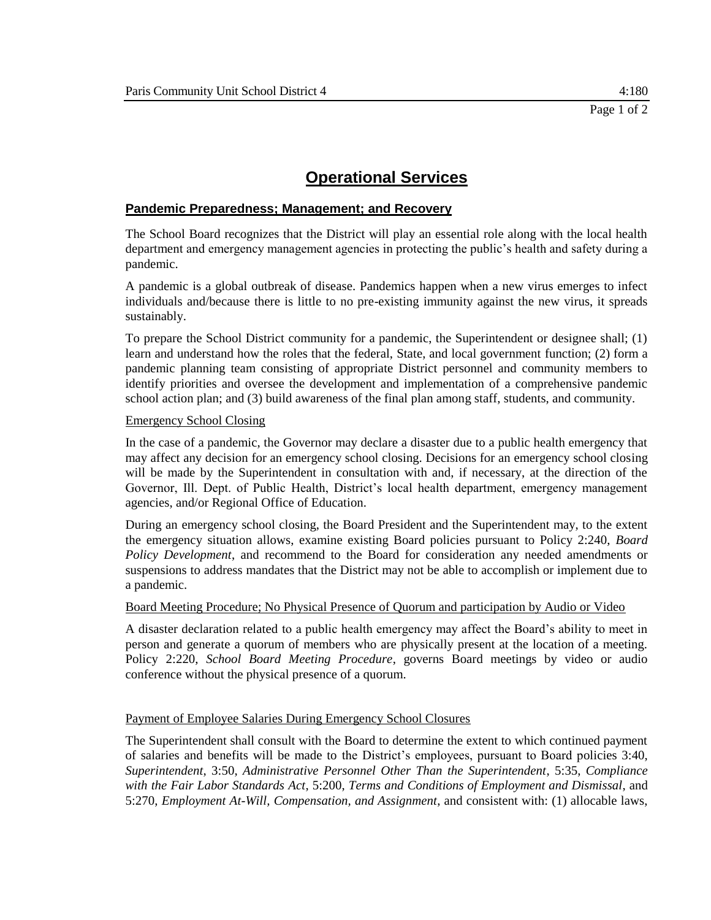## **Pandemic Preparedness; Management; and Recovery**

The School Board recognizes that the District will play an essential role along with the local health department and emergency management agencies in protecting the public's health and safety during a pandemic.

A pandemic is a global outbreak of disease. Pandemics happen when a new virus emerges to infect individuals and/because there is little to no pre-existing immunity against the new virus, it spreads sustainably.

To prepare the School District community for a pandemic, the Superintendent or designee shall; (1) learn and understand how the roles that the federal, State, and local government function; (2) form a pandemic planning team consisting of appropriate District personnel and community members to identify priorities and oversee the development and implementation of a comprehensive pandemic school action plan; and (3) build awareness of the final plan among staff, students, and community.

### Emergency School Closing

In the case of a pandemic, the Governor may declare a disaster due to a public health emergency that may affect any decision for an emergency school closing. Decisions for an emergency school closing will be made by the Superintendent in consultation with and, if necessary, at the direction of the Governor, Ill. Dept. of Public Health, District's local health department, emergency management agencies, and/or Regional Office of Education.

During an emergency school closing, the Board President and the Superintendent may, to the extent the emergency situation allows, examine existing Board policies pursuant to Policy 2:240, *Board Policy Development*, and recommend to the Board for consideration any needed amendments or suspensions to address mandates that the District may not be able to accomplish or implement due to a pandemic.

### Board Meeting Procedure; No Physical Presence of Quorum and participation by Audio or Video

A disaster declaration related to a public health emergency may affect the Board's ability to meet in person and generate a quorum of members who are physically present at the location of a meeting. Policy 2:220, *School Board Meeting Procedure*, governs Board meetings by video or audio conference without the physical presence of a quorum.

### Payment of Employee Salaries During Emergency School Closures

The Superintendent shall consult with the Board to determine the extent to which continued payment of salaries and benefits will be made to the District's employees, pursuant to Board policies 3:40, *Superintendent*, 3:50, *Administrative Personnel Other Than the Superintendent*, 5:35, *Compliance with the Fair Labor Standards Act*, 5:200, *Terms and Conditions of Employment and Dismissal*, and 5:270, *Employment At-Will, Compensation, and Assignment*, and consistent with: (1) allocable laws,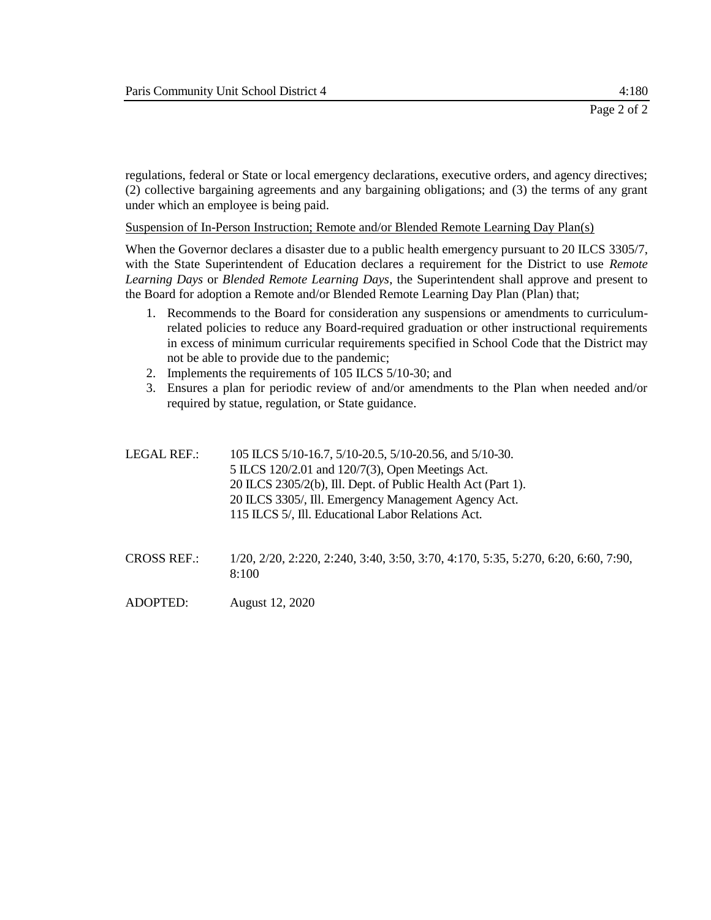regulations, federal or State or local emergency declarations, executive orders, and agency directives; (2) collective bargaining agreements and any bargaining obligations; and (3) the terms of any grant under which an employee is being paid.

Suspension of In-Person Instruction; Remote and/or Blended Remote Learning Day Plan(s)

When the Governor declares a disaster due to a public health emergency pursuant to 20 ILCS 3305/7, with the State Superintendent of Education declares a requirement for the District to use *Remote Learning Days* or *Blended Remote Learning Days*, the Superintendent shall approve and present to the Board for adoption a Remote and/or Blended Remote Learning Day Plan (Plan) that;

- 1. Recommends to the Board for consideration any suspensions or amendments to curriculumrelated policies to reduce any Board-required graduation or other instructional requirements in excess of minimum curricular requirements specified in School Code that the District may not be able to provide due to the pandemic;
- 2. Implements the requirements of 105 ILCS 5/10-30; and
- 3. Ensures a plan for periodic review of and/or amendments to the Plan when needed and/or required by statue, regulation, or State guidance.

| LEGAL REF.: | 105 ILCS 5/10-16.7, 5/10-20.5, 5/10-20.56, and 5/10-30.      |
|-------------|--------------------------------------------------------------|
|             | 5 ILCS 120/2.01 and 120/7(3), Open Meetings Act.             |
|             | 20 ILCS 2305/2(b), Ill. Dept. of Public Health Act (Part 1). |
|             | 20 ILCS 3305/, Ill. Emergency Management Agency Act.         |
|             | 115 ILCS 5/, Ill. Educational Labor Relations Act.           |
|             |                                                              |

- CROSS REF.: 1/20, 2/20, 2:220, 2:240, 3:40, 3:50, 3:70, 4:170, 5:35, 5:270, 6:20, 6:60, 7:90, 8:100
- ADOPTED: August 12, 2020